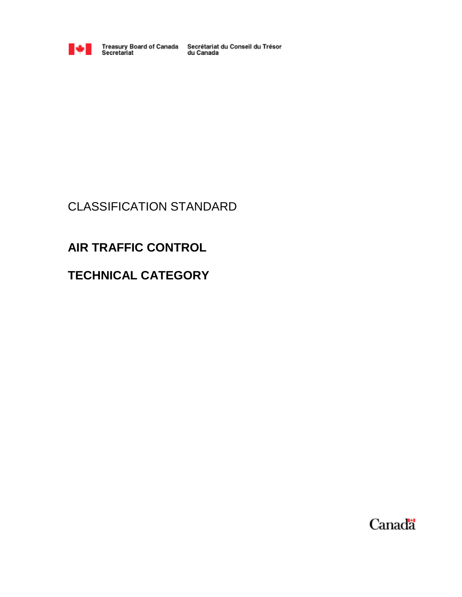

Treasury Board of Canada Secrétariat du Conseil du Trésor<br>Secretariat du Canada

# CLASSIFICATION STANDARD

# **AIR TRAFFIC CONTROL**

# **TECHNICAL CATEGORY**

Canada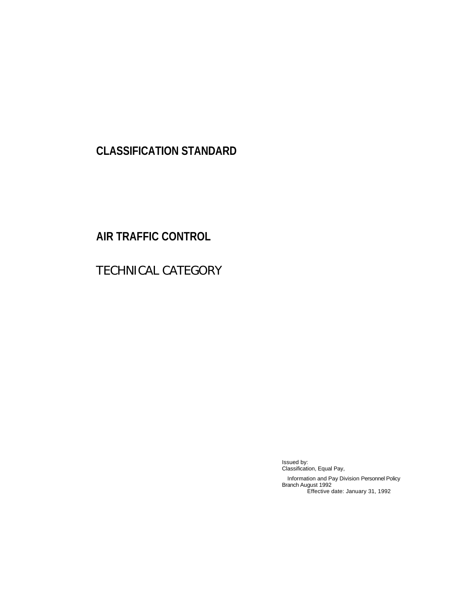# **CLASSIFICATION STANDARD**

# **AIR TRAFFIC CONTROL**

# TECHNICAL CATEGORY

Issued by: Classification, Equal Pay, Information and Pay Division Personnel Policy Branch August 1992 Effective date: January 31, 1992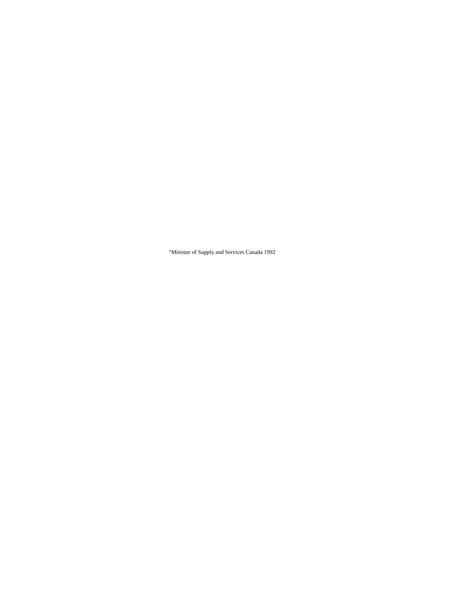°Minister of Supply and Services Canada 1992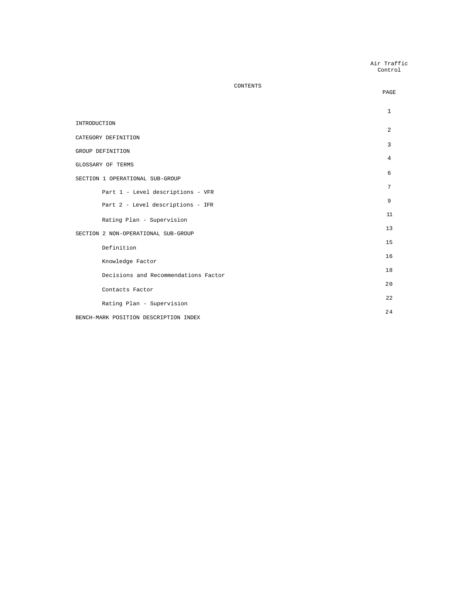| Air Traffic |  |
|-------------|--|
| Control     |  |

|                                       | PAGE         |
|---------------------------------------|--------------|
|                                       | $\mathbf{1}$ |
| INTRODUCTION                          | 2            |
| CATEGORY DEFINITION                   | 3            |
| GROUP DEFINITION                      | 4            |
| GLOSSARY OF TERMS                     |              |
| SECTION 1 OPERATIONAL SUB-GROUP       | 6            |
| Part 1 - Level descriptions - VFR     | 7            |
| Part 2 - Level descriptions - IFR     | 9            |
| Rating Plan - Supervision             | 11           |
| SECTION 2 NON-OPERATIONAL SUB-GROUP   | 13           |
| Definition                            | 15           |
| Knowledge Factor                      | 16           |
| Decisions and Recommendations Factor  | 18           |
| Contacts Factor                       | 20           |
| Rating Plan - Supervision             | 2.2.         |
| BENCH-MARK POSITION DESCRIPTION INDEX | 24           |
|                                       |              |

CONTENTS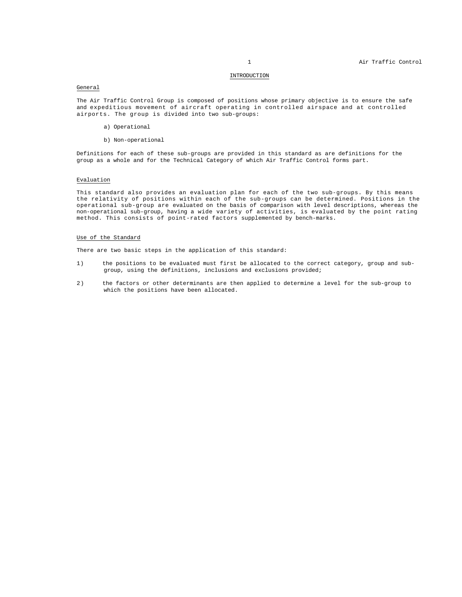# INTRODUCTION

# General

The Air Traffic Control Group is composed of positions whose primary objective is to ensure the safe and expeditious movement of aircraft operating in controlled airspace and at controlled airports. The group is divided into two sub-groups:

- a) Operational
- b) Non-operational

Definitions for each of these sub-groups are provided in this standard as are definitions for the group as a whole and for the Technical Category of which Air Traffic Control forms part.

# Evaluation

This standard also provides an evaluation plan for each of the two sub-groups. By this means the relativity of positions within each of the sub-groups can be determined. Positions in the operational sub-group are evaluated on the basis of comparison with level descriptions, whereas the non-operational sub-group, having a wide variety of activities, is evaluated by the point rating method. This consists of point-rated factors supplemented by bench-marks.

# Use of the Standard

There are two basic steps in the application of this standard:

- 1) the positions to be evaluated must first be allocated to the correct category, group and subgroup, using the definitions, inclusions and exclusions provided;
- 2) the factors or other determinants are then applied to determine a level for the sub-group to which the positions have been allocated.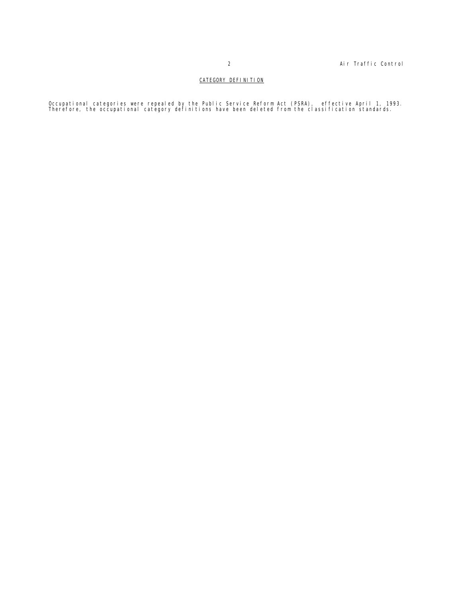# CATEGORY DEFINITION

Occupational categories were repealed by the Public Service Reform Act (PSRA), effective April 1, 1993.<br>Therefore, the occupational category definitions have been deleted from the classification standards.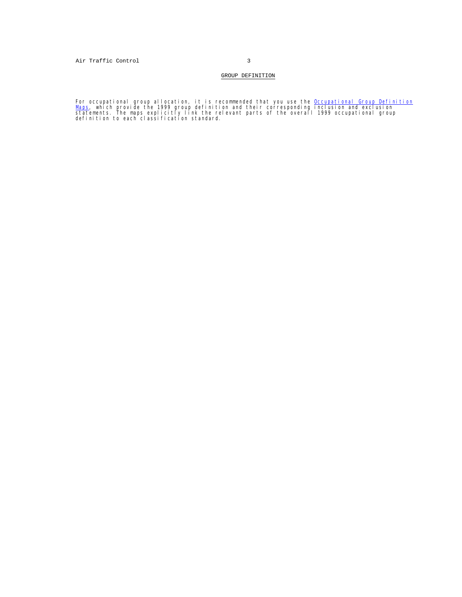# GROUP DEFINITION

For occupational group allocation, it is recommended that you use the <u>Occupational Group Definition</u><br><u>Maps</u>, which provide the 1999 group definition and their corresponding inclusion and exclusion<br>statements. The maps exp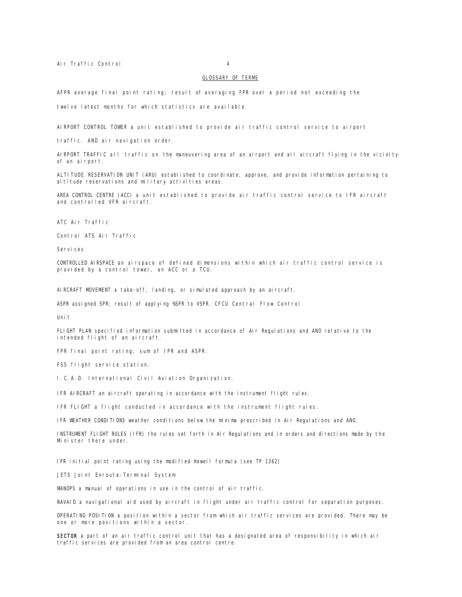Air Traffic Control 4

## GLOSSARY OF TERMS

AFPR average final point rating; result of averaging FPR over a period not exceeding the

twelve latest months for which statistics are available.

AIRPORT CONTROL TOWER a unit established to provide air traffic control service to airport

traffic. AND air navigation order.

AIRPORT TRAFFIC all traffic on the maneuvering area of an airport and all aircraft flying in the vicinity of an airport.

ALTITUDE RESERVATION UNIT (ARU) established to coordinate, approve, and provide information pertaining to altitude reservations and military activities areas.

AREA CONTROL CENTRE (ACC) a unit established to provide air traffic control service to IFR aircraft and controlled VFR aircraft.

ATC Air Traffic

Control ATS Air Traffic

Services

CONTROLLED AIRSPACE an airspace of defined dimensions within which air traffic control service is provided by a control tower, an ACC or a TCU.

AIRCRAFT MOVEMENT a take-off, landing, or simulated approach by an aircraft.

ASPR assigned SPR; result of applying %SPR to VSPR. CFCU Central Flow Control

Unit

FLIGHT PLAN specified information submitted in accordance of Air Regulations and ANO relative to the intended flight of an aircraft.

FPR final point rating; sum of IPR and ASPR.

FSS flight service station.

I.C.A.O. International Civil Aviation Organization.

IFR AIRCRAFT an aircraft operating in accordance with the instrument flight rules.

IFR FLIGHT a flight conducted in accordance with the instrument flight rules.

IFR WEATHER CONDITIONS weather conditions below the minima prescribed in Air Regulations and ANO.

INSTRUMENT FLIGHT RULES (IFR) the rules set forth in Air Regulations and in orders and directions made by the Minister there under.

IPR initial point rating using the modified Howell formula (see TP 1362)

JETS Joint Enroute-Terminal System

MANOPS a manual of operations in use in the control of air traffic.

NAVAID a navigational aid used by aircraft in flight under air traffic control for separation purposes.

OPERATING POSITION a position within a sector from which air traffic services are provided. There may be one or more positions within a sector.

SECTOR a part of an air traffic control unit that has a designated area of responsibility in which air traffic services are provided from an area control centre.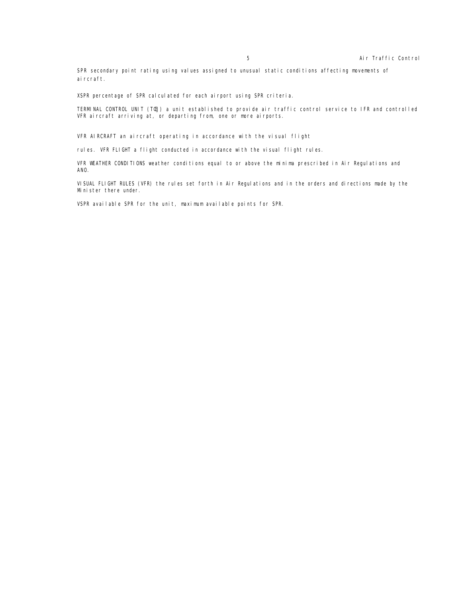SPR secondary point rating using values assigned to unusual static conditions affecting movements of ai rcraft.

XSPR percentage of SPR calculated for each airport using SPR criteria.

TERMINAL CONTROL UNIT (TŒJ) a unit established to provide air traffic control service to IFR and controlled VFR aircraft arriving at, or departing from, one or more airports.

VFR AIRCRAFT an aircraft operating in accordance with the visual flight

rules. VFR FLIGHT a flight conducted in accordance with the visual flight rules.

VFR WEATHER CONDITIONS weather conditions equal to or above the minima prescribed in Air Regulations and ANO.

VISUAL FLIGHT RULES (VFR) the rules set forth in Air Regulations and in the orders and directions made by the Minister there under.

VSPR available SPR for the unit, maximum available points for SPR.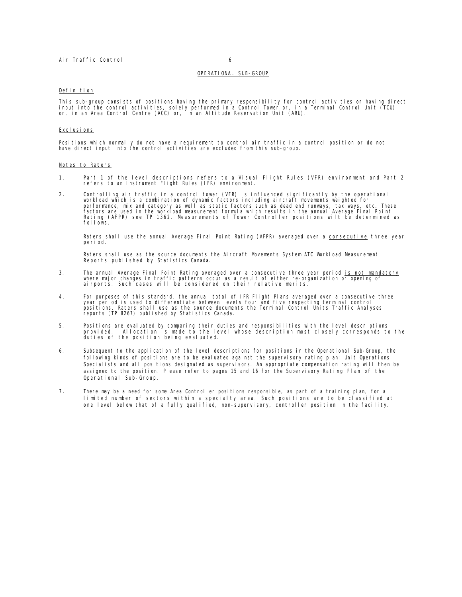# OPERATIONAL SUB-GROUP

# Definition

This sub-group consists of positions having the primary responsibility for control activities or having direct<br>input into the control activities, solely performed in a Control Tower or, in a Terminal Control Unit (TCU)<br>or,

## Excl usi ons

Positions which normally do not have a requirement to control air traffic in a control position or do not have direct input into the control activities are excluded from this sub-group.

# Notes to Raters

- 1. Part 1 of the level descriptions refers to a Visual Flight Rules (VFR) environment and Part 2 refers to an Instrument Flight Rules (IFR) environment.
- 2. Controlling air traffic in a control tower (VFR) is influenced significantly by the operational<br>workload which is a combination of dynamic factors including aircraft movements weighted for<br>performance, mix and category fol Lows.

Raters shall use the annual Average Final Point Rating (AFPR) averaged over a consecutive three year period.

Raters shall use as the source documents the Aircraft Movements System ATC Workload Measurement Reports published by Statistics Canada.

- 3. The annual Average Final Point Rating averaged over a consecutive three year period is not mandatory where major changes in traffic patterns occur as a result of either re-organization or opening of airports. Such cases will be considered on their relative merits.
- 4. For purposes of this standard, the annual total of IFR Flight Plans averaged over a consecutive three year period is used to differentiate between levels four and five respecting terminal control<br>positions. Raters shall use as the source documents the Terminal Control Units Traffic Analyses<br>reports (TP 8267) published by S
- 5. Positions are evaluated by comparing their duties and responsibilities with the level descriptions<br>provided. Allocation is made to the level whose description most closely corresponds to the<br>duties of the position being
- 6. Subsequent to the application of the level descriptions for positions in the Operational Sub-Group, the following kinds of positions are to be evaluated against the supervisory rating plan: Unit Operations Specialists and all positions designated as supervisors. An appropriate compensation rating will then be assigned to the position. Please refer to pages 15 and 16 for the Supervisory Rating Plan of the Operational Sub-Group.
- 7. There may be a need for some Area Controller positions responsible, as part of a training plan, for a limited number of sectors within a specialty area. Such positions are to be classified at one level below that of a fully qualified, non-supervisory, controller position in the facility.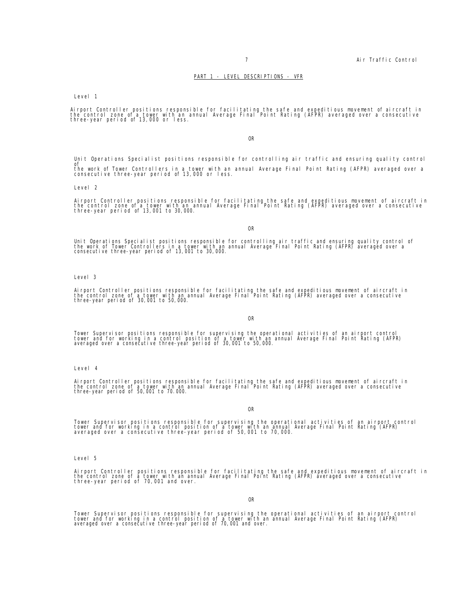# PART 1 - LEVEL DESCRIPTIONS - VFR

Level 1

Airport Controller positions responsible for facilitating the safe and expeditious movement of aircraft in<br>the control zone of a tower with an annual Average Final Point Rating (AFPR) averaged over a consecutive<br>three-year

# OR

Unit Operations Specialist positions responsible for controlling air traffic and ensuring quality control of<br>the work of Tower Controllers in a tower with an annual Average Final Point Rating (AFPR) averaged over a<br>consecutive three-year period of 13,000 or less.

Level 2

Airport Controller positions responsible for facilitating the safe and expeditious movement of aircraft in<br>the control zone of a tower with an annual Average Final Point Rating (AFPR) averaged over a consecutive<br>three-year

OR

Unit Operations Specialist positions responsible for controlling air traffic and ensuring quality control of<br>the work of Tower Controllers in a tower with an annual Average Final Point Rating (AFPR) averaged over a<br>consecu

# Level 3

Airport Controller positions responsible for facilitating the safe and expeditious movement of aircraft in<br>the control zone of a tower with an annual Average Final Point Rating (AFPR) averaged over a consecutive<br>three-year

#### OR

Tower Supervisor positions responsible for supervising the operational activities of an airport control<br>tower and for working in a control position of a tower with an annual Average Final Point Rating (AFPR)<br>averaged over

Level 4

Airport Controller positions responsible for facilitating the safe and expeditious movement of aircraft in<br>the control zone of a tower with an annual Average Final Point Rating (AFPR) averaged over a consecutive<br>three-year

OR

Tower Supervisor positions responsible for supervising the operational activities of an airport control<br>tower and for working in a control position of a tower with an annual Average Final Point Rating (AFPR)<br>averaged over

Level 5

Airport Controller positions responsible for facilitating the safe and expeditious movement of aircraft in<br>the control zone of a tower with an annual Average Final Point Rating (AFPR) averaged over a consecutive<br>three-year

OR

Tower Supervisor positions responsible for supervising the operational activities of an airport control<br>tower and for working in a control position of a tower with an annual Average Final Point Rating (AFPR)<br>averaged over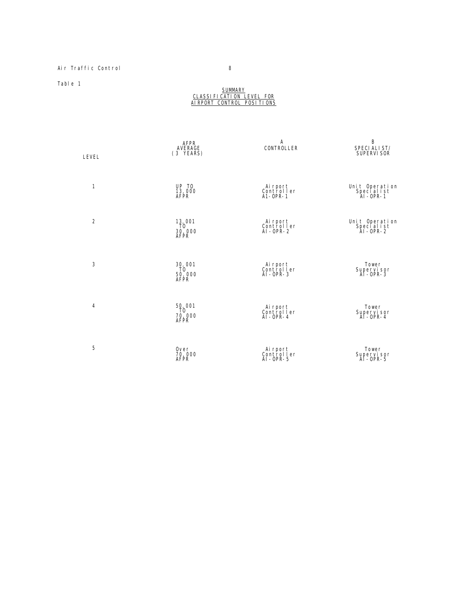# Air Traffic Control 8

Table 1

## **SUMMARY** CLASSIFICATION LEVEL FOR <u>AIRPORT CONTROL POSITIONS</u>

| LEVEL          | AFPR<br>AVERAGE<br>(3 YEARS)    | Α<br><b>CONTROLLER</b>                     | B<br>SPECI ALI ST/<br>SUPERVI SOR               |
|----------------|---------------------------------|--------------------------------------------|-------------------------------------------------|
| 1              | UP TO<br>13,000<br>AFPR         | Ai rport<br>Controller<br>$A1-OPR-1$       | Unit Operation<br>Specialist<br>Al-OPR-1        |
| $\overline{2}$ | 13,001<br>TÒ.<br>30,000<br>AFPR | Airport<br>Controller<br>$AI$ - OPR - 2    | Unit Operation<br>Special ist<br>$AI - OPR - 2$ |
| 3              | 30,001<br>ΤÒ<br>50,000<br>AFPR  | Airport<br>Controller<br>$AI$ -OPR-3       | Tower<br>Supervisor<br>AI-OPR-3                 |
| $\overline{4}$ | 50,001<br>ΤÒ<br>70,000<br>AFPR  | Ai rport<br>Controller<br>$AI$ -OPR-4      | Tower<br>Supervisor<br>Al-OPR-4                 |
| 5              | 0ver<br>70,000<br>AFPR          | Ai rport<br>Controller<br>$AI$ - $OPR - 5$ | Tower<br>Supervisor<br>Al-OPR-5                 |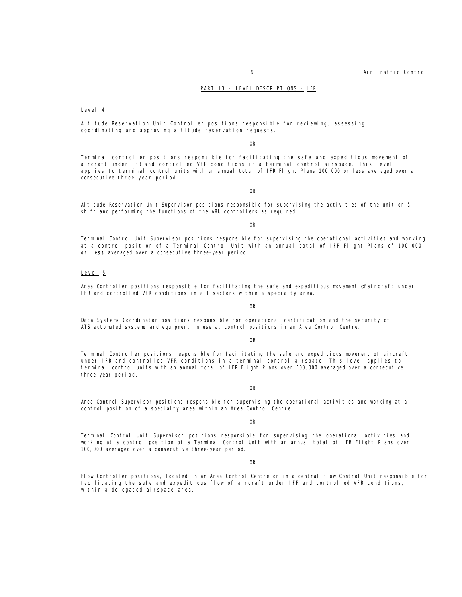# PART 13 - LEVEL DESCRIPTIONS - IFR

# Level 4

Altitude Reservation Unit Controller positions responsible for reviewing, assessing, coordinating and approving altitude reservation requests.

# OR

Terminal controller positions responsible for facilitating the safe and expeditious movement of aircraft under IFR and controlled VFR conditions in a terminal control airspace. This level applies to terminal control units with an annual total of IFR Flight Plans 100,000 or less averaged over a consecutive three-year period.

OR

Altitude Reservation Unit Supervisor positions responsible for supervising the activities of the unit on â shift and performing the functions of the ARU controllers as required.

#### OR

Terminal Control Unit Supervisor positions responsible for supervising the operational activities and working at a control position of a Terminal Control Unit with an annual total of IFR Flight Plans of 100,000 or less averaged over a consecutive three-year period.

# Level 5

Area Controller positions responsible for facilitating the safe and expeditious movement of aircraft under IFR and controlled VFR conditions in all sectors within a specialty area.

OR

Data Systems Coordinator positions responsible for operational certification and the security of ATS automated systems and equipment in use at control positions in an Area Control Centre.

OR

Terminal Controller positions responsible for facilitating the safe and expeditious movement of aircraft under IFR and controlled VFR conditions in a terminal control airspace. This level applies to terminal control units with an annual total of IFR Flight Plans over 100,000 averaged over a consecutive three-year period.

OR

Area Control Supervisor positions responsible for supervising the operational activities and working at a control position of a specialty area within an Area Control Centre.

#### OR

Terminal Control Unit Supervisor positions responsible for supervising the operational activities and working at a control position of a Terminal Control Unit with an annual total of IFR Flight Plans over 100,000 averaged over a consecutive three-year period.

OR

Flow Controller positions, located in an Area Control Centre or in a central Flow Control Unit responsible for facilitating the safe and expeditious flow of aircraft under IFR and controlled VFR conditions, within a delegated airspace area.

9 Air Traffic Control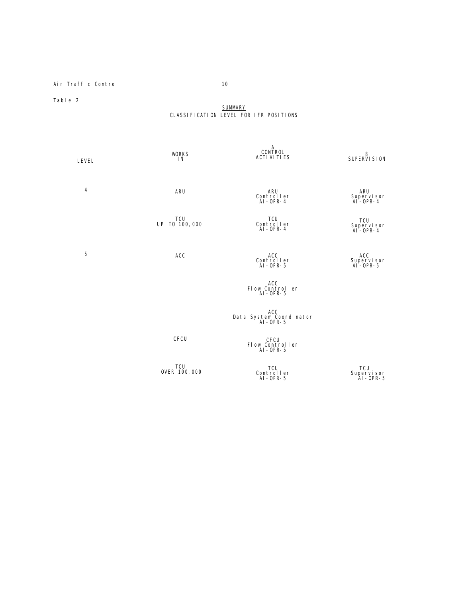Air Traffic Control 10

Table 2

# SUMMARY CLASSIFICATION LEVEL FOR IFR POSITIONS

| <b>LEVEL</b> | <b>WORKS</b><br><b>IN</b> | A<br>CONTROL<br><b>ACTI VI TI ES</b>       | 8<br>SUPERVI SI ON                          |
|--------------|---------------------------|--------------------------------------------|---------------------------------------------|
| 4            | ARU                       | ARU<br>Controller<br>$AI - OPR - 4$        | ARU<br>Supervisor<br>AI-OPR-4               |
|              | TCU<br>UP TO 100,000      | TCU<br>Controller<br>$AI$ -OPR-4           | <b>TCU</b><br>Supervi sor<br>$AI - OPR - 4$ |
| 5            | ACC                       | ACC<br>Controller<br>$AI$ -OPR-5           | <b>ACC</b><br>Supervisor<br>Al-OPR-5        |
|              |                           | ACC<br>Flow Controller<br>Al-OPR-5         |                                             |
|              |                           | ACC<br>Data System Coordinator<br>Al-OPR-5 |                                             |
|              | CFCU                      | CFCU<br>Flow Controller<br>Al-OPR-5        |                                             |
|              | TCU<br>OVER 100, 000      | TCU<br>Controller<br>Al-OPR-5              | TCU<br>Supervisor<br>AI-OPR-5               |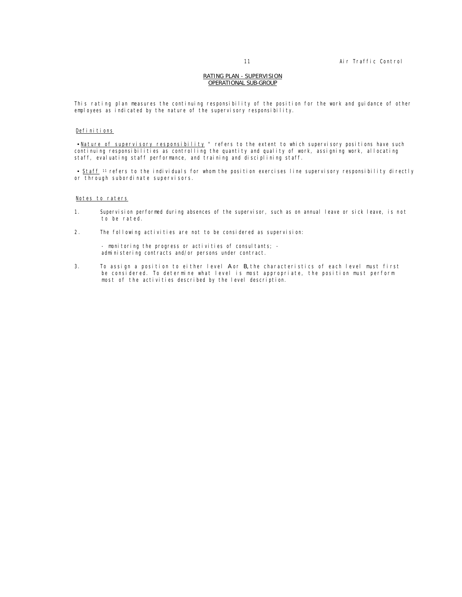# RATING PLAN - SUPERVISION OPERATIONAL SUB-GROUP

This rating plan measures the continuing responsibility of the position for the work and guidance of other employees as indicated by the nature of the supervisory responsibility.

# Definitions

 $\bullet$  Nature of supervisory responsibility " refers to the extent to which supervisory positions have such continuing responsibilities as controlling the quantity and quality of work, assigning work, allocating staff, evaluating staff performance, and training and disciplining staff.

• Staff <sup>11</sup> refers to the individuals for whom the position exercises line supervisory responsibility directly or through subordinate supervisors.

# Notes to raters

- 1. Supervision performed during absences of the supervisor, such as on annual leave or sick leave, is not to be rated.
- 2. The following activities are not to be considered as supervision:

- monitoring the progress or activities of consultants; administering contracts and/or persons under contract.

3. To assign a position to either level A or B, the characteristics of each level must first be considered. To determine what level is most appropriate, the position must perform most of the activities described by the level description.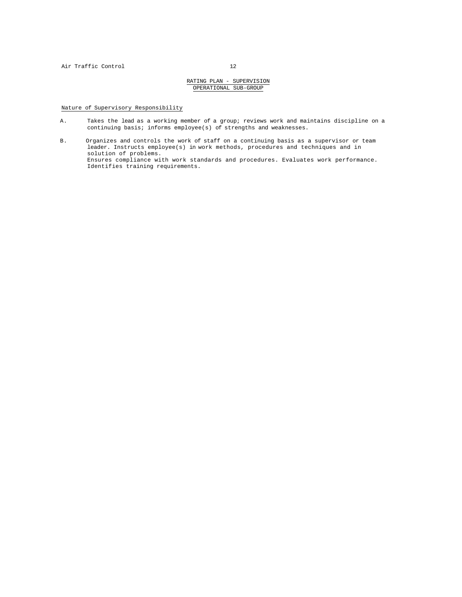Nature of Supervisory Responsibility

- A. Takes the lead as a working member of a group; reviews work and maintains discipline on a continuing basis; informs employee(s) of strengths and weaknesses.
- B. Organizes and controls the work of staff on a continuing basis as a supervisor or team leader. Instructs employee(s) in work methods, procedures and techniques and in solution of problems. Ensures compliance with work standards and procedures. Evaluates work performance. Identifies training requirements.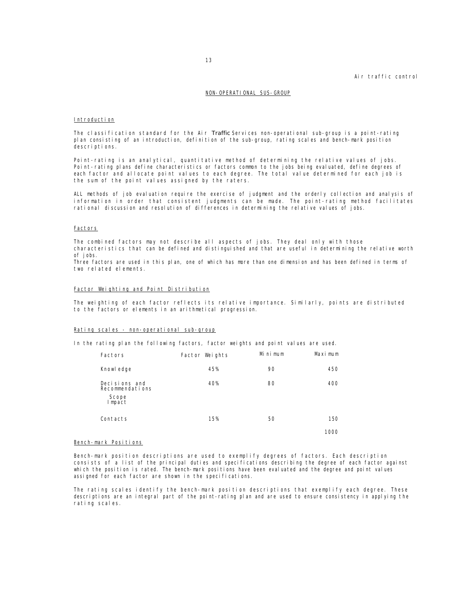# Air traffic control

# NON-OPERATIONAL SUS-GROUP

# Introduction

The classification standard for the Air *Traffic* Services non-operational sub-group is a point-rating plan consisting of an introduction, definition of the sub-group, rating scales and bench-mark position descriptions.

Point-rating is an analytical, quantitative method of determining the relative values of jobs. Point-rating plans define characteristics or factors common to the jobs being evaluated, define degrees of each factor and allocate point values to each degree. The total value determined for each job is the sum of the point values assigned by the raters.

ALL methods of job evaluation require the exercise of judgment and the orderly collection and analysis of information in order that consistent judgments can be made. The point-rating method facilitates rational discussion and resolution of differences in determining the relative values of jobs.

# **Factors**

The combined factors may not describe all aspects of jobs. They deal only with those characteristics that can be defined and distinguished and that are useful in determining the relative worth of jobs.

Three factors are used in this plan, one of which has more than one dimension and has been defined in terms of two related elements.

# Factor Weighting and Point Distribution

The weighting of each factor reflects its relative importance. Similarly, points are distributed to the factors or elements in an arithmetical progression.

## Rating scales - non-operational sub-group

In the rating plan the following factors, factor weights and point values are used.

| Factors                                             | Factor Weights | Mi ni mum | Maximum |
|-----------------------------------------------------|----------------|-----------|---------|
| Knowl edge                                          | 45%            | 90        | 450     |
| Decisions and<br>Recommendations<br>Scope<br>Impact | 40%            | 80        | 400     |
| Contacts                                            | 15%            | 50        | 150     |
|                                                     |                |           | 1000    |

# Bench-mark Positions

Bench-mark position descriptions are used to exemplify degrees of factors. Each description consists of a list of the principal duties and specifications describing the degree of each factor against which the position is rated. The bench-mark positions have been evaluated and the degree and point values assigned for each factor are shown in the specifications.

The rating scales identify the bench-mark position descriptions that exemplify each degree. These descriptions are an integral part of the point-rating plan and are used to ensure consistency in applying the rating scales.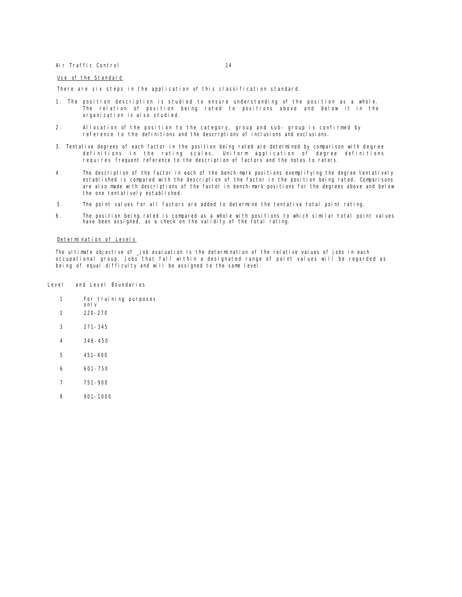# Air Traffic Control 14

# Use of the Standard

There are six steps in the application of this classification standard.

- 1. The position description is studied to ensure understanding of the position as a whole. The relation of position being rated to positions above and below it in the organization is also studied.
- 2. Allocation of the position to the category, group and sub- group is confirmed by reference to the definitions and the descriptions of inclusions and exclusions.
- 3. Tentative degrees of each factor in the position being rated are determined by comparison with degree definitions in the rating scales. Uniform application of degree definitions requires frequent reference to the description of factors and the notes to raters.
- 4. The description of the factor in each of the bench-mark positions exemplifying the degree tentatively established is compared with the description of the factor in the position being rated. Comparisons are also made with descriptions of the factor in bench-mark positions for the degrees above and below the one tentatively established.
- 5. The point values for all factors are added to determine the tentative total point rating.
- 6. The position being rated is compared as a whole with positions to which similar total point values have been assigned, as a check on the validity of the total rating.

# Determination of Levels

The ultimate objective of job evaluation is the determination of the relative values of jobs in each occupational group. Jobs that fall within a designated range of point values will be regarded as being of equal difficulty and will be assigned to the same level.

Level and Level Boundaries

- 1 For training purposes only
- 2 220-270
- 3 271-345
- 4 346-450
- 5 451-600
- 6 601-750
- 7 751-900
- 8 901-1000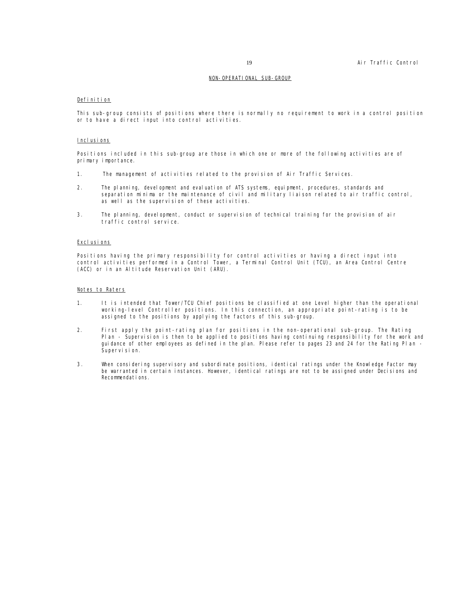# NON-OPERATIONAL SUB-GROUP

# Definition

This sub-group consists of positions where there is normally no requirement to work in a control position or to have a direct input into control activities.

# Inclusions

Positions included in this sub-group are those in which one or more of the following activities are of primary importance.

- 1. The management of activities related to the provision of Air Traffic Services.
- 2. The planning, development and evaluation of ATS systems, equipment, procedures, standards and separation minima or the maintenance of civil and military liaison related to air traffic control, as well as the supervision of these activities.
- 3. The planning, development, conduct or supervision of technical training for the provision of air traffic control service.

# Excl usi ons

Positions having the primary responsibility for control activities or having a direct input into control activities performed in a Control Tower, a Terminal Control Unit (TCU), an Area Control Centre (ACC) or in an Altitude Reservation Unit (ARU).

# Notes to Raters

- 1. It is intended that Tower/TCU Chief positions be classified at one Level higher than the operational working-level Controller positions. In this connection, an appropriate point-rating is to be assigned to the positions by applying the factors of this sub-group.
- 2. First apply the point-rating plan for positions in the non-operational sub-group. The Rating Plan - Supervision is then to be applied to positions having continuing responsibility for the work and guidance of other employees as defined in the plan. Please refer to pages 23 and 24 for the Rating Plan - Supervision.
- 3. When considering supervisory and subordinate positions, identical ratings under the Knowledge Factor may be warranted in certain instances. However, identical ratings are not to be assigned under Decisions and Recommendations.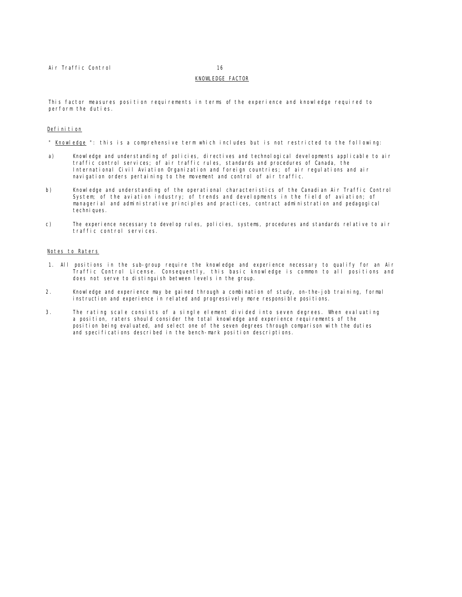# KNOWLEDGE FACTOR

This factor measures position requirements in terms of the experience and knowledge required to perform the duties.

# Definition

" Knowledge ": this is a comprehensive term which includes but is not restricted to the following:

- a) Knowledge and understanding of policies, directives and technological developments applicable to air traffic control services; of air traffic rules, standards and procedures of Canada, the International Civil Aviation Organization and foreign countries; of air regulations and air navigation orders pertaining to the movement and control of air traffic.
- b) Knowledge and understanding of the operational characteristics of the Canadian Air Traffic Control System; of the aviation industry; of trends and developments in the field of aviation; of managerial and administrative principles and practices, contract administration and pedagogical techni ques.
- c) The experience necessary to develop rules, policies, systems, procedures and standards relative to air traffic control services.

# Notes to Raters

- 1. All positions in the sub-group require the knowledge and experience necessary to qualify for an Air Traffic Control License. Consequently, this basic knowledge is common to all positions and does not serve to distinguish between levels in the group.
- 2. Knowledge and experience may be gained through a combination of study, on-the-job training, formal instruction and experience in related and progressively more responsible positions.
- 3. The rating scale consists of a single element divided into seven degrees. When evaluating a position, raters should consider the total knowledge and experience requirements of the position being evaluated, and select one of the seven degrees through comparison with the duties and specifications described in the bench-mark position descriptions.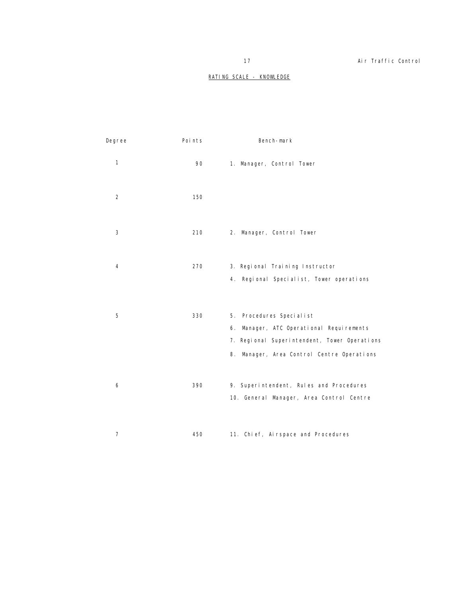# RATING SCALE - KNOWLEDGE

| Degree         | Poi nts | Bench-mark                                                                                                                                                         |
|----------------|---------|--------------------------------------------------------------------------------------------------------------------------------------------------------------------|
| $\mathbf{1}$   | 90      | 1. Manager, Control Tower                                                                                                                                          |
| 2              | 150     |                                                                                                                                                                    |
| 3              | 210     | 2. Manager, Control Tower                                                                                                                                          |
| 4              | 270     | 3. Regional Training Instructor<br>4. Regional Specialist, Tower operations                                                                                        |
|                |         |                                                                                                                                                                    |
| 5              | 330     | 5. Procedures Specialist<br>6. Manager, ATC Operational Requirements<br>7. Regional Superintendent, Tower Operations<br>8. Manager, Area Control Centre Operations |
| 6              | 390     | 9. Superintendent, Rules and Procedures<br>10. General Manager, Area Control Centre                                                                                |
| $\overline{7}$ | 450     | 11. Chi ef, Ai rspace and Procedures                                                                                                                               |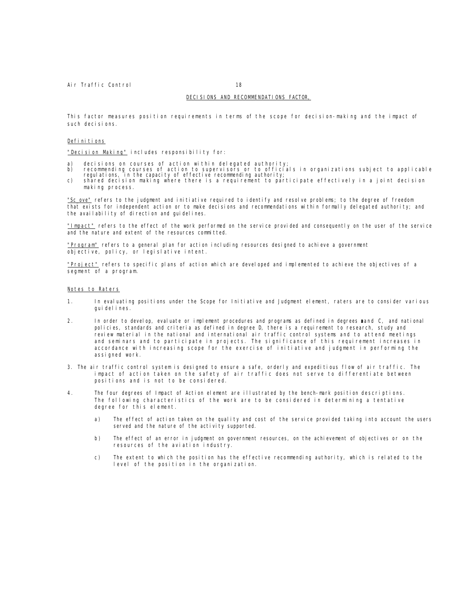## DECISIONS AND RECOMMENDATIONS FACTOR,

This factor measures position requirements in terms of the scope for decision-making and the impact of such decisions.

# Definitions

"Decision Making" includes responsibility for:

- 
- a) decisions on courses of action within delegated authority;<br>b) recommending courses of action to supervisors or to officials in organizations subject to applicable<br>regulations, in the capacity of effective recommending a
- making process.

"Sc\_ove" refers to the judgment and initiative required to identify and resolve problems; to the degree of freedom that exists for independent action or to make decisions and recommendations within formally delegated authority; and the availability of direction and guidelines.

"Impact" refers to the effect of the work performed on the service provided and consequently on the user of the service and the nature and extent of the resources committed.

"Program" refers to a general plan for action including resources designed to achieve a government objective, policy, or legislative intent.

"Project" refers to specific plans of action which are developed and implemented to achieve the objectives of a segment of a program.

# Notes to Raters

- 1. In evaluating positions under the Scope for Initiative and Judgment element, raters are to consider various guidelines.
- 2. In order to develop, evaluate or implement procedures and programs as defined in degrees a and C, and national policies, standards and criteria as defined in degree D, there is a requirement to research, study and review material in the national and international air traffic control systems and to attend meetings and seminars and to participate in projects. The significance of this requirement increases in accordance with increasing scope for the exercise of initiative and judgment in performing the assigned work.
- 3. The air traffic control system is designed to ensure a safe, orderly and expeditious flow of air traffic. The impact of action taken on the safety of air traffic does not serve to differentiate between positions and is not to be considered.
- 4. The four degrees of Impact of Action element are illustrated by the bench-mark position descriptions. The following characteristics of the work are to be considered in determining a tentative degree for this element.
	- a) The effect of action taken on the quality and cost of the service provided taking into account the users served and the nature of the activity supported.
	- b) The effect of an error in judgment on government resources, on the achievement of objectives or on the resources of the aviation industry.
	- c) The extent to which the position has the effective recommending authority, which is related to the level of the position in the organization.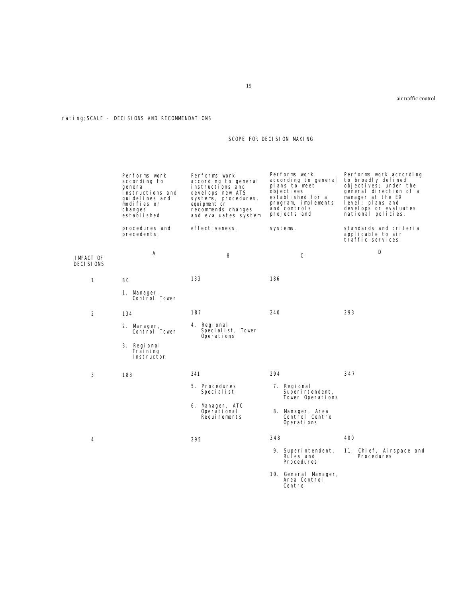# rating; SCALE - DECISIONS AND RECOMMENDATIONS

# SCOPE FOR DECISION MAKING

|                           | Performs work<br>according to<br>qeneral<br>instructions and<br>qui del i nes and<br>modifies or<br>changes<br>establ i shed | Performs work<br>according to general<br>instructions and<br>develops new ATS<br>systems, procedures,<br>equipment or<br>recommends changes<br>and evaluates system | Performs work<br>according to general<br>plans to meet<br>objectives<br>established for a<br>program, implements<br>and controls<br>projects and | Performs work according<br>to broadly defined<br>objectives; under the<br>general direction of a<br>manager at the EX<br>$level$ ; plans and<br>develops or evaluates<br>national policies, |
|---------------------------|------------------------------------------------------------------------------------------------------------------------------|---------------------------------------------------------------------------------------------------------------------------------------------------------------------|--------------------------------------------------------------------------------------------------------------------------------------------------|---------------------------------------------------------------------------------------------------------------------------------------------------------------------------------------------|
|                           | procedures and<br>precedents.                                                                                                | effecti veness.                                                                                                                                                     | systems.                                                                                                                                         | standards and criteria<br>applicable to air<br>traffic services.                                                                                                                            |
| I MPACT OF<br>DECI SI ONS | Α                                                                                                                            | 8                                                                                                                                                                   | C                                                                                                                                                | D                                                                                                                                                                                           |
| $\mathbf{1}$              | 80                                                                                                                           | 133                                                                                                                                                                 | 186                                                                                                                                              |                                                                                                                                                                                             |
|                           | 1. Manager,<br>Control Tower                                                                                                 |                                                                                                                                                                     |                                                                                                                                                  |                                                                                                                                                                                             |
| 2                         | 134                                                                                                                          | 187                                                                                                                                                                 | 240                                                                                                                                              | 293                                                                                                                                                                                         |
|                           | 2. Manager,<br>Control Tower                                                                                                 | 4. Regional<br>Specialist, Tower<br>Operations                                                                                                                      |                                                                                                                                                  |                                                                                                                                                                                             |
|                           | 3. Regional<br>Trai ni ng<br>Instructor                                                                                      |                                                                                                                                                                     |                                                                                                                                                  |                                                                                                                                                                                             |
| 3                         | 188                                                                                                                          | 241                                                                                                                                                                 | 294                                                                                                                                              | 347                                                                                                                                                                                         |
|                           |                                                                                                                              | 5. Procedures<br>Specialist                                                                                                                                         | 7. Regional<br>Superintendent,<br>Tower Operations                                                                                               |                                                                                                                                                                                             |
|                           |                                                                                                                              | 6. Manager, ATC<br>Operational<br>Requirements                                                                                                                      | 8. Manager, Area<br>Control Centre<br>Operations                                                                                                 |                                                                                                                                                                                             |
| 4                         |                                                                                                                              | 295                                                                                                                                                                 | 348                                                                                                                                              | 400                                                                                                                                                                                         |
|                           |                                                                                                                              |                                                                                                                                                                     | 9. Superintendent,<br>Rules and<br>Procedures                                                                                                    | 11. Chief, Airspace and<br>Procedures                                                                                                                                                       |
|                           |                                                                                                                              |                                                                                                                                                                     | 10. General Manager,<br>Area Control<br>Centre                                                                                                   |                                                                                                                                                                                             |

air traffic control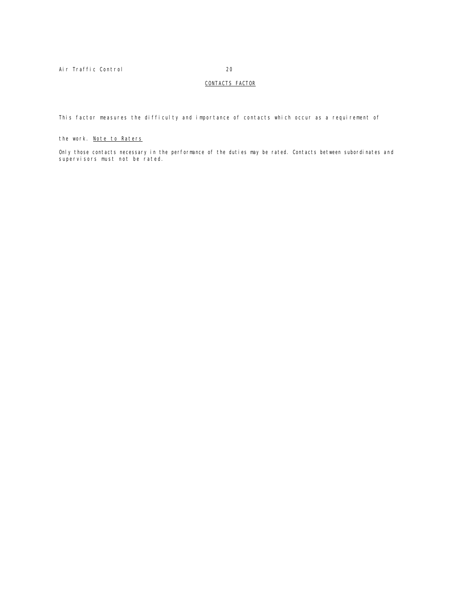# CONTACTS FACTOR

This factor measures the difficulty and importance of contacts which occur as a requirement of

# the work. Note to Raters

Only those contacts necessary in the performance of the duties may be rated. Contacts between subordinates and supervisors must not be rated.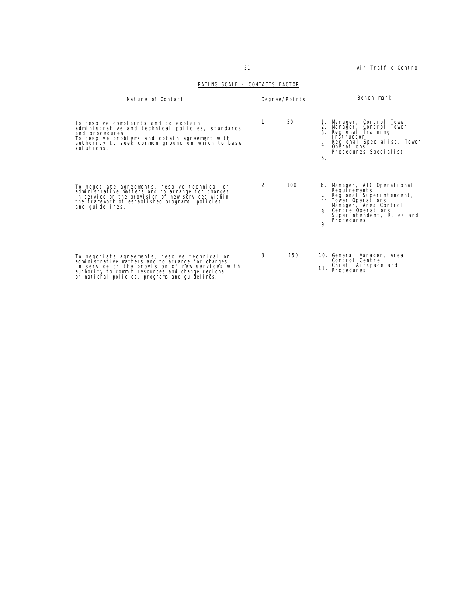# RATING SCALE - CONTACTS FACTOR

| Nature of Contact                                                                                                                                                                                                                                             | Degree/Points |                                | Bench-mark                                                                                                                                                                              |
|---------------------------------------------------------------------------------------------------------------------------------------------------------------------------------------------------------------------------------------------------------------|---------------|--------------------------------|-----------------------------------------------------------------------------------------------------------------------------------------------------------------------------------------|
| To resolve complaints and to explain<br>administrative and technical policies, standards<br>and procedures.<br>To resolve problems and obtain agreement with<br>authority to seek common ground on which to base<br>solutions.                                | 1             | 50<br>2.<br>$\mathbf{3}$<br>5. | Manager, Control Tower<br>Manager, Control Tower<br>Regional Training<br>Instructor<br>Regional Specialist, Tower<br>4 Operations<br>Procedures Specialist                              |
| To negotiate agreements, resolve technical or<br>administrative matters and to arrange for changes<br>in service or the provision of new services within<br>the framework of established programs, policies<br>and quidelines.                                | 2             | 100<br>9.                      | 6. Manager, ATC Operational<br>Requirements<br>Regional Superintendent,<br>Tower Operations<br>Manager, Area Control<br>8. Centre Operations<br>Superintendent, Rules and<br>Procedures |
| To negotiate agreements, resolve technical or<br>administrative matters and to arrange for changes<br>in service or the provision of new services with<br>authority to commit resources and change regional<br>or national policies, programs and quidelines. | 3             | 150<br>11.                     | 10. General Manager, Area<br>Control Centre<br>Chief, Airspace and<br>Procedures                                                                                                        |

21 **Air Traffic Control**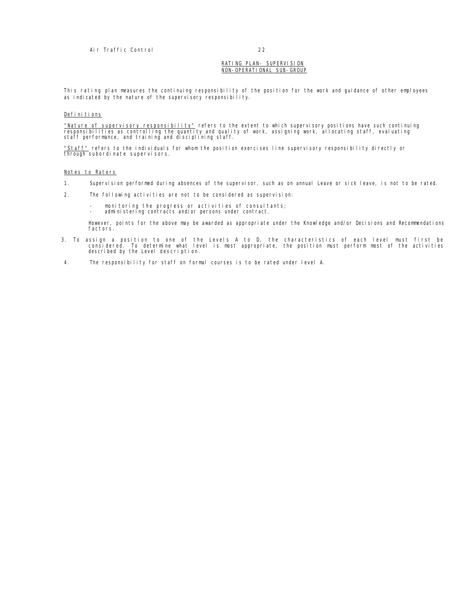# RATING PLAN- SUPERVISION NON-OPERATIONAL SUB-GROUP

This rating plan measures the continuing responsibility of the position for the work and guidance of other employees as indicated by the nature of the supervisory responsibility.

# Definitions

<u>"Nature of supervisory responsibility"</u> refers to the extent to which supervisory positions have such continuing<br>responsibilities as controlling the quantity and quality of work, assigning work, allocating staff, evaluati

<u>"Staff"</u> refers to the individuals for whom the position exercises line supervisory responsibility directly or<br>through subordinate supervisors.

# Notes to Raters

- 1. Supervision performed during absences of the supervisor, such as on annual Leave or sick leave, is not to be rated.
- 2. The following activities are not to be considered as supervision:
	- monitoring the progress or activities of consultants; administering contracts and/or persons under contract.
	-

However, points for the above may be awarded as appropriate under the Knowledge and/or Decisions and Recommendations factors.

- 3. To assign a position to one of the Levels A to D, the characteristics of each level must first be<br>considered. To determine what level is most appropriate, the position must perform most of the activities<br>described by th
- 4. The responsibility for staff on formal courses is to be rated under level A.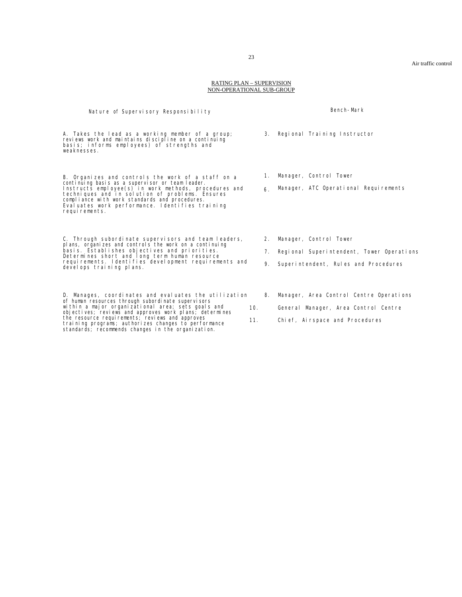#### RATING PLAN – SUPERVISION NON-OPERATIONAL SUB-GROUP

| Nature of Supervisory Responsibility                                                                                                                                                                                                                                                                                                                                                          |            |                | Bench-Mark                                                                                                          |  |  |
|-----------------------------------------------------------------------------------------------------------------------------------------------------------------------------------------------------------------------------------------------------------------------------------------------------------------------------------------------------------------------------------------------|------------|----------------|---------------------------------------------------------------------------------------------------------------------|--|--|
| A. Takes the lead as a working member of a group;<br>reviews work and maintains discipline on a continuing<br>basis; informs employees) of strengths and<br>weaknesses.                                                                                                                                                                                                                       |            |                | 3. Regional Training Instructor                                                                                     |  |  |
| B. Organizes and controls the work of a staff on a<br>continuing basis as a supervisor or team leader.<br>Instructs employee(s) in work methods, procedures and<br>techniques and in solution of problems. Ensures<br>compliance with work standards and procedures.<br>Evaluates work performance. Identifies training<br>requirements.                                                      |            | 1.<br>6.       | Manager, Control Tower<br>Manager, ATC Operational Requirements                                                     |  |  |
| C. Through subordinate supervisors and team leaders,<br>plans, organizes and controls the work on a continuing<br>basis. Establishes objectives and priorities.<br>Determines short and long term human resource<br>requirements. Identifies development requirements and<br>develops training plans.                                                                                         |            | 2.<br>7.<br>9. | Manager, Control Tower<br>Regional Superintendent, Tower Operations<br>Superintendent, Rules and Procedures         |  |  |
| D. Manages, coordinates and evaluates the utilization<br>of human resources through subordinate supervisors<br>within a major organizational area; sets goals and<br>objectives; reviews and approves work plans; determines<br>the resource requirements; reviews and approves<br>training programs; authorizes changes to performance<br>standards; recommends changes in the organization. | 10.<br>11. | 8.             | Manager, Area Control Centre Operations<br>General Manager, Area Control Centre<br>Chi ef, Ai rspace and Procedures |  |  |

23

Air traffic control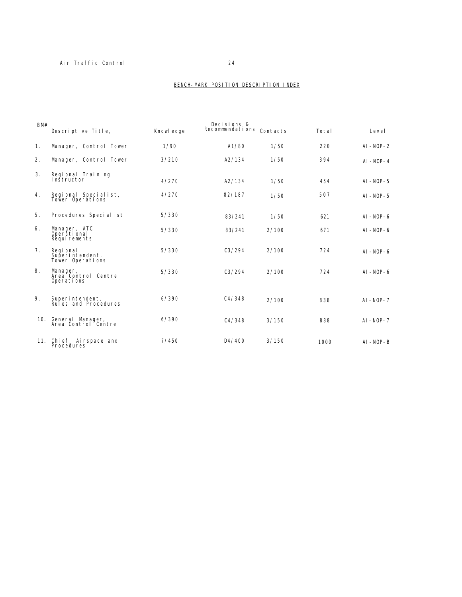# Air Traffic Control 24

# BENCH-MARK POSITION DESCRIPTION INDEX

| BM# | Descriptive Title,                               | Knowl edge | Decisions &<br>Recommendations Contacts |       | Total | Level          |
|-----|--------------------------------------------------|------------|-----------------------------------------|-------|-------|----------------|
| 1.  | Manager, Control Tower                           | 1/90       | A1/80                                   | 1/50  | 220   | $AI - NOP - 2$ |
| 2.  | Manager, Control Tower                           | 3/210      | A2/134                                  | 1/50  | 394   | $AI - NOP - 4$ |
| 3.  | Regional Training<br>Instructor                  | 4/270      | A2/134                                  | 1/50  | 454   | $AI - NOP - 5$ |
| 4.  | Regional Specialist,<br>Tower Operations         | 4/270      | 82/187                                  | 1/50  | 507   | $AI - NOP - 5$ |
| 5.  | Procedures Specialist                            | 5/330      | 83/241                                  | 1/50  | 621   | $AI - NOP - 6$ |
| 6.  | Manager, ATC<br>Operătional<br>Requirements      | 5/330      | 83/241                                  | 2/100 | 671   | $AI - NOP - 6$ |
| 7.  | Regi onal<br>Superintendent,<br>Tower Operations | 5/330      | C3/294                                  | 2/100 | 724   | $AI - NOP - 6$ |
| 8.  | Manager,<br>Area Control Centre<br>Operations    | 5/330      | C3/294                                  | 2/100 | 724   | $AI - NOP - 6$ |
| 9.  | Superintendent,<br>Rules and Procedures          | 6/390      | C4/348                                  | 2/100 | 838   | $AI - NOP - 7$ |
| 10. | General Manager,<br>Area Control Centre          | 6/390      | C4/348                                  | 3/150 | 888   | $AI - NOP - 7$ |
| 11. | Chief, Airspace and<br>Procedures                | 7/450      | D4/400                                  | 3/150 | 1000  | $AI - NOP - B$ |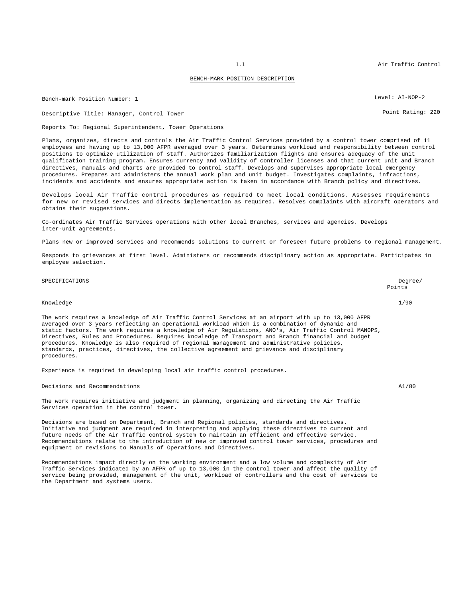## BENCH-MARK POSITION DESCRIPTION

Bench-mark Position Number: 1 Level: AI-NOP-2

Descriptive Title: Manager, Control Tower Point Rating: 220

Reports To: Regional Superintendent, Tower Operations

Plans, organizes, directs and controls the Air Traffic Control Services provided by a control tower comprised of 11 employees and having up to 13,000 AFPR averaged over 3 years. Determines workload and responsibility between control positions to optimize utilization of staff. Authorizes familiarization flights and ensures adequacy of the unit qualification training program. Ensures currency and validity of controller licenses and that current unit and Branch directives, manuals and charts are provided to control staff. Develops and supervises appropriate local emergency procedures. Prepares and administers the annual work plan and unit budget. Investigates complaints, infractions, incidents and accidents and ensures appropriate action is taken in accordance with Branch policy and directives.

Develops local Air Traffic control procedures as required to meet local conditions. Assesses requirements for new or revised services and directs implementation as required. Resolves complaints with aircraft operators and obtains their suggestions.

Co-ordinates Air Traffic Services operations with other local Branches, services and agencies. Develops inter-unit agreements.

Plans new or improved services and recommends solutions to current or foreseen future problems to regional management.

Responds to grievances at first level. Administers or recommends disciplinary action as appropriate. Participates in employee selection.

| SPECIFICATIONS                                                                                                                                                                                                                                                                                                                                                                                                                                                                                                                                                                                                              | Degree/<br>Points |
|-----------------------------------------------------------------------------------------------------------------------------------------------------------------------------------------------------------------------------------------------------------------------------------------------------------------------------------------------------------------------------------------------------------------------------------------------------------------------------------------------------------------------------------------------------------------------------------------------------------------------------|-------------------|
| Knowledge                                                                                                                                                                                                                                                                                                                                                                                                                                                                                                                                                                                                                   | 1/90              |
| The work requires a knowledge of Air Traffic Control Services at an airport with up to 13,000 AFPR<br>averaged over 3 years reflecting an operational workload which is a combination of dynamic and<br>static factors. The work requires a knowledge of Air Requlations, ANO's, Air Traffic Control MANOPS,<br>Directives, Rules and Procedures. Requires knowledge of Transport and Branch financial and budget<br>procedures. Knowledge is also required of regional management and administrative policies,<br>standards, practices, directives, the collective agreement and grievance and disciplinary<br>procedures. |                   |
| Experience is required in developing local air traffic control procedures.                                                                                                                                                                                                                                                                                                                                                                                                                                                                                                                                                  |                   |
| Decisions and Recommendations                                                                                                                                                                                                                                                                                                                                                                                                                                                                                                                                                                                               | A1/80             |
| The work requires initiative and judqment in planning, organizing and directing the Air Traffic<br>Services operation in the control tower.                                                                                                                                                                                                                                                                                                                                                                                                                                                                                 |                   |
| Decisions are based on Department, Branch and Regional policies, standards and directives.                                                                                                                                                                                                                                                                                                                                                                                                                                                                                                                                  |                   |

Initiative and judgment are required in interpreting and applying these directives to current and future needs of the Air Traffic control system to maintain an efficient and effective service. Recommendations relate to the introduction of new or improved control tower services, procedures and equipment or revisions to Manuals of Operations and Directives.

Recommendations impact directly on the working environment and a low volume and complexity of Air Traffic Services indicated by an AFPR of up to 13,000 in the control tower and affect the quality of service being provided, management of the unit, workload of controllers and the cost of services to the Department and systems users.

1.1 Air Traffic Control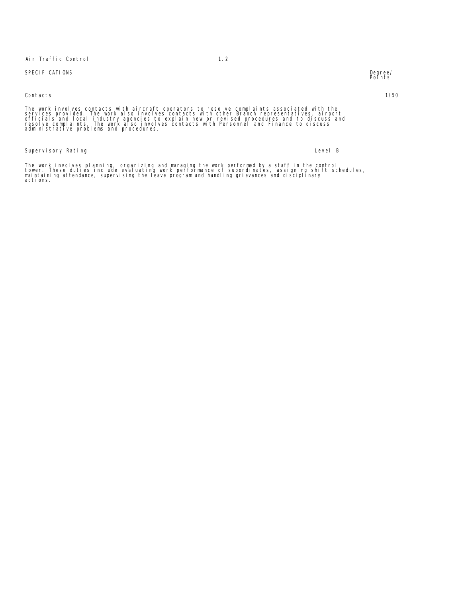Air Traffic Control 1.2

# SPECIFICATIONS

Contacts 1/50

The work involves contacts with aircraft operators to resolve complaints associated with the<br>services provided. The work also involves contacts with other Branch representatives, airport<br>officials and local industry agenci

Supervisory Rating **Level B** 

The work involves planning, organizing and managing the work performed by a staff in the control<br>tower. These duties include evaluating work performance of subordinates, assigning shift schedules,<br>maintaining attendance, s

Degree/<br>Points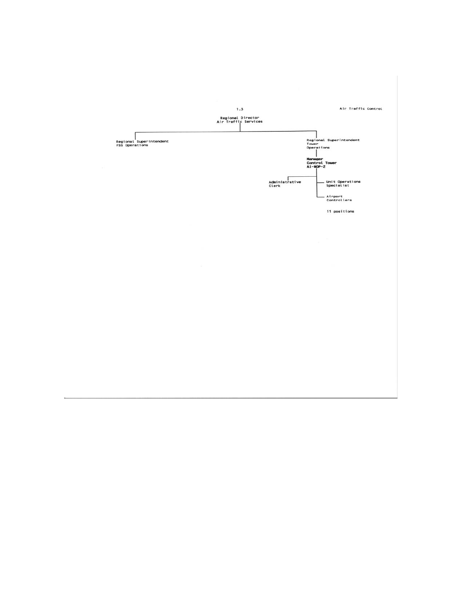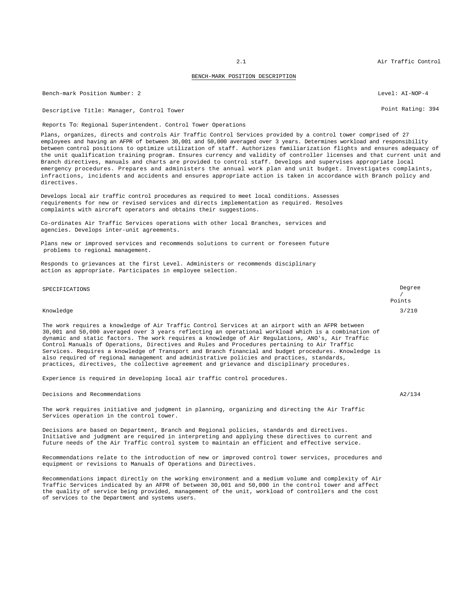## BENCH-MARK POSITION DESCRIPTION

Bench-mark Position Number: 2 2 Level: AI-NOP-4 Level: AI-NOP-4

Descriptive Title: Manager, Control Tower Point Rating: 394

Reports To: Regional Superintendent. Control Tower Operations

Plans, organizes, directs and controls Air Traffic Control Services provided by a control tower comprised of 27 employees and having an AFPR of between 30,001 and 50,000 averaged over 3 years. Determines workload and responsibility between control positions to optimize utilization of staff. Authorizes familiarization flights and ensures adequacy of the unit qualification training program. Ensures currency and validity of controller licenses and that current unit and Branch directives, manuals and charts are provided to control staff. Develops and supervises appropriate local emergency procedures. Prepares and administers the annual work plan and unit budget. Investigates complaints, infractions, incidents and accidents and ensures appropriate action is taken in accordance with Branch policy and directives.

Develops local air traffic control procedures as required to meet local conditions. Assesses requirements for new or revised services and directs implementation as required. Resolves complaints with aircraft operators and obtains their suggestions.

Co-ordinates Air Traffic Services operations with other local Branches, services and agencies. Develops inter-unit agreements.

Plans new or improved services and recommends solutions to current or foreseen future problems to regional management.

Responds to grievances at the first Level. Administers or recommends disciplinary action as appropriate. Participates in employee selection.

# SPECIFICATIONS Degree

#### Knowledge 3/210

The work requires a knowledge of Air Traffic Control Services at an airport with an AFPR between 30,001 and 50,000 averaged over 3 years reflecting an operational workload which is a combination of dynamic and static factors. The work requires a knowledge of Air Regulations, ANO's, Air Traffic Control Manuals of Operations, Directives and Rules and Procedures pertaining to Air Traffic Services. Requires a knowledge of Transport and Branch financial and budget procedures. Knowledge is also required of regional management and administrative policies and practices, standards, practices, directives, the collective agreement and grievance and disciplinary procedures.

Experience is required in developing local air traffic control procedures.

Decisions and Recommendations A2/134

The work requires initiative and judgment in planning, organizing and directing the Air Traffic Services operation in the control tower.

Decisions are based on Department, Branch and Regional policies, standards and directives. Initiative and judgment are required in interpreting and applying these directives to current and future needs of the Air Traffic control system to maintain an efficient and effective service.

Recommendations relate to the introduction of new or improved control tower services, procedures and equipment or revisions to Manuals of Operations and Directives.

Recommendations impact directly on the working environment and a medium volume and complexity of Air Traffic Services indicated by an AFPR of between 30,001 and 50,000 in the control tower and affect the quality of service being provided, management of the unit, workload of controllers and the cost of services to the Department and systems users.

2.1 Air Traffic Control

/ Points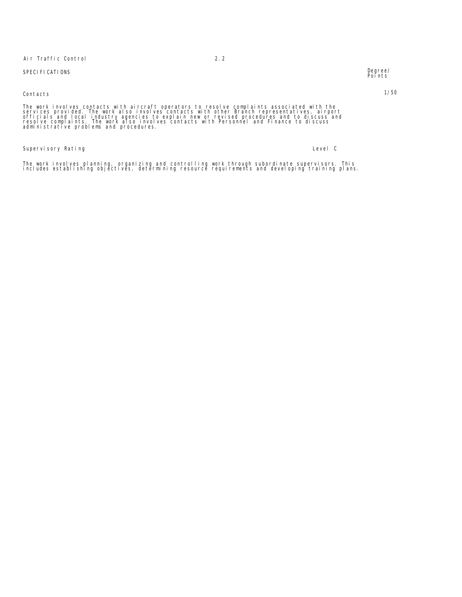# Air Traffic Control 2.2

# SPECIFICATIONS

# Contacts 1/50

The work involves contacts with aircraft operators to resolve complaints associated with the<br>services provided. The work also involves contacts with other Branch representatives, airport<br>officials and local industry agenci

Supervisory Rating Level C

The work involves planning, organizing and controlling work through subordinate supervisors. This<br>includes establishing objectives, determining resource requirements and developing training plans.

Degree/<br>Points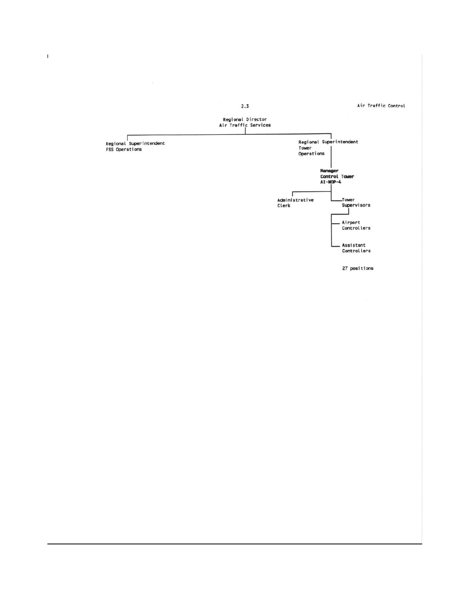



 $\Gamma$ 

27 positions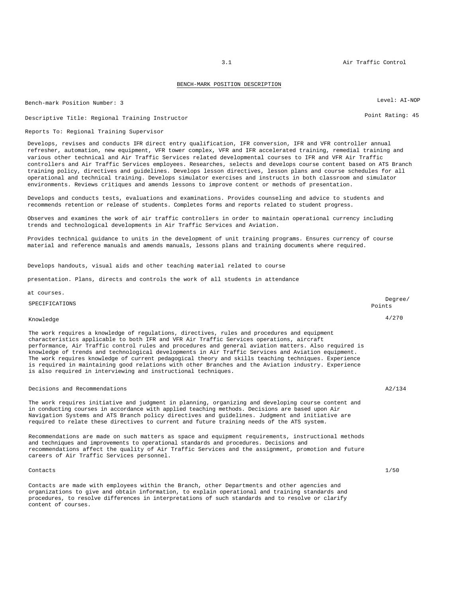#### BENCH-MARK POSITION DESCRIPTION

Bench-mark Position Number: 3 Level: AI-NOP

Descriptive Title: Regional Training Instructor entitled and the Control of Point Rating: 45

# Reports To: Regional Training Supervisor

Develops, revises and conducts IFR direct entry qualification, IFR conversion, IFR and VFR controller annual refresher, automation, new equipment, VFR tower complex, VFR and IFR accelerated training, remedial training and various other technical and Air Traffic Services related developmental courses to IFR and VFR Air Traffic controllers and Air Traffic Services employees. Researches, selects and develops course content based on ATS Branch training policy, directives and guidelines. Develops lesson directives, lesson plans and course schedules for all operational and technical training. Develops simulator exercises and instructs in both classroom and simulator environments. Reviews critiques and amends lessons to improve content or methods of presentation.

Develops and conducts tests, evaluations and examinations. Provides counseling and advice to students and recommends retention or release of students. Completes forms and reports related to student progress.

Observes and examines the work of air traffic controllers in order to maintain operational currency including trends and technological developments in Air Traffic Services and Aviation.

Provides technical guidance to units in the development of unit training programs. Ensures currency of course material and reference manuals and amends manuals, lessons plans and training documents where required.

Develops handouts, visual aids and other teaching material related to course

presentation. Plans, directs and controls the work of all students in attendance

at courses.

SPECIFICATIONS Degree/

# Knowledge 4/270

The work requires a knowledge of requiations, directives, rules and procedures and equipment characteristics applicable to both IFR and VFR Air Traffic Services operations, aircraft performance, Air Traffic control rules and procedures and general aviation matters. Also required is knowledge of trends and technological developments in Air Traffic Services and Aviation equipment. The work requires knowledge of current pedagogical theory and skills teaching techniques. Experience is required in maintaining good relations with other Branches and the Aviation industry. Experience is also required in interviewing and instructional techniques.

## Decisions and Recommendations and Recommendations A2/134

The work requires initiative and judgment in planning, organizing and developing course content and in conducting courses in accordance with applied teaching methods. Decisions are based upon Air Navigation Systems and ATS Branch policy directives and guidelines. Judgment and initiative are required to relate these directives to current and future training needs of the ATS system.

Recommendations are made on such matters as space and equipment requirements, instructional methods and techniques and improvements to operational standards and procedures. Decisions and recommendations affect the quality of Air Traffic Services and the assignment, promotion and future careers of Air Traffic Services personnel.

#### Contacts 1/50

Contacts are made with employees within the Branch, other Departments and other agencies and organizations to give and obtain information, to explain operational and training standards and procedures, to resolve differences in interpretations of such standards and to resolve or clarify content of courses.

Points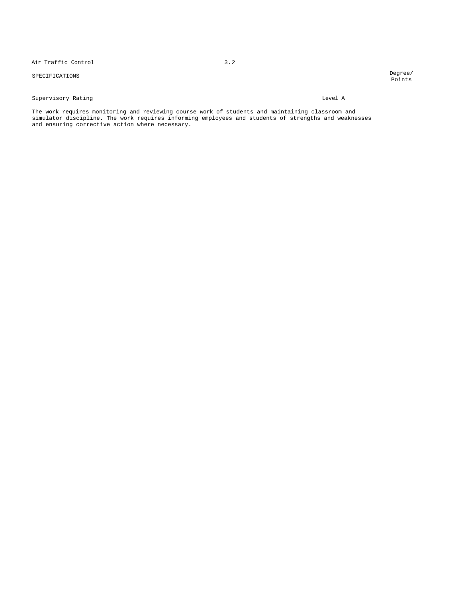Air Traffic Control 3.2

# SPECIFICATIONS Degree/

Points

# Supervisory Rating Level A

The work requires monitoring and reviewing course work of students and maintaining classroom and simulator discipline. The work requires informing employees and students of strengths and weaknesses and ensuring corrective action where necessary.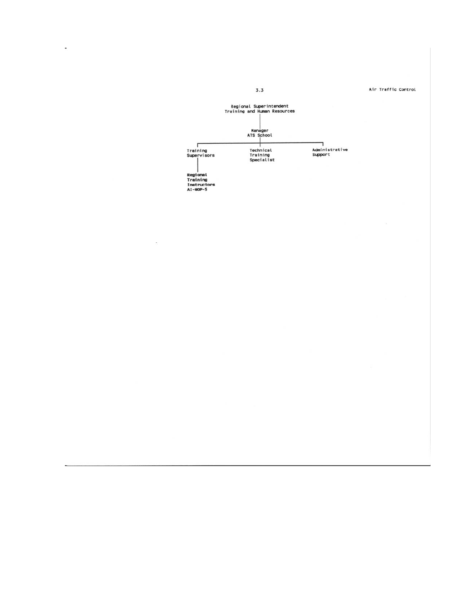Regional Superintendent<br>Training and Human Resources Nanager<br>ATS School Training<br>Supervisors ٦ |<br>Administrative<br>Support Technical<br>Training<br>Specialist |<br>Regional<br>Training<br>Instructors<br>AI-NOP-5

Air Traffic Control

 $3.3$ 

 $\overline{\phantom{a}}$ 

 $\ddot{\phantom{a}}$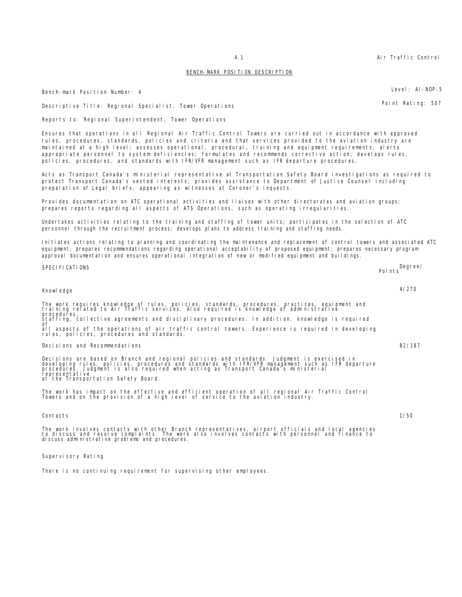4.1 Air Traffic Control

## BENCH-MARK POSITION DESCRIPTION

Bench-mark Position Number: 4 Level: AI-NOP-5

Descriptive Title: Regional Specialist, Tower Operations Point Rating: 507

Reports to: Regional Superintendent, Tower Operations

Ensures that operations in all Regional Air Traffic Control Towers are carried out in accordance with approved rules, procedures, standards, policies and criteria and that services provided to the aviation industry are maintained at a high level; assesses operational, procedural, training and equipment requirements; alerts appropriate personnel to system deficiencies; formulates and recommends corrective action; develops rules, policies, procedures, and standards with IFR/VFR management such as IFR departure procedures.

Acts as Transport Canada's ministerial representative at Transportation Safety Board investigations as required to protect Transport Canada's vested interests; provides assistance to Department of Justice Counsel including preparation of Legal briefs, appearing as witnesses at Coroner's inquests.

Provides documentation on ATC operational activities and liaises with other directorates and aviation groups; prepares reports regarding all aspects of ATS Operations, such as operating irregularities.

Undertakes activities relating to the training and staffing of tower units; participates in the selection of ATC personnel through the recruitment process; develops plans to address training and staffing needs.

Initiates actions relating to planning and coordinating the maintenance and replacement of control towers and associated ATC equipment; prepares recommendations regarding operational acceptability of proposed equipment; prepares necessary program approval documentation and ensures operational integration of new or modified equipment and buildings.

Knowledge 4/270 The work requires knowledge of rules, policies, standards, procedures, practices, equipment and training related to Air Traffic services. Also required is knowledge of administrative procedures, staffing, collective agreements and disciplinary procedures. In addition, knowledge is required<br>of of all aspects of the operations of air traffic control towers. Experience is required in developing rules, policies, procedures and standards. Decisions and Recommendations B2/187 Decisions are based on Branch and regional policies and standards. Judgment is exercised in<br>developing rules, policies, procedures and standards with IFR/VFR management such as IFR departure<br>procedures. Judgment is also re representative at the Transportation Safety Board. The work has impact on the effective and efficient operation of all regional Air Traffic Control Towers and on the provision of a high level of service to the aviation industry.

Contacts 1/50

The work involves contacts with other Branch representatives, airport officials and local agencies<br>to discuss and resolve complaints. The work also involves contacts with personnel and finance to<br>discuss administrative pro

Supervisory Rating

There is no continuing requirement for supervising other employees.

SPECIFICATIONS Degree/ Points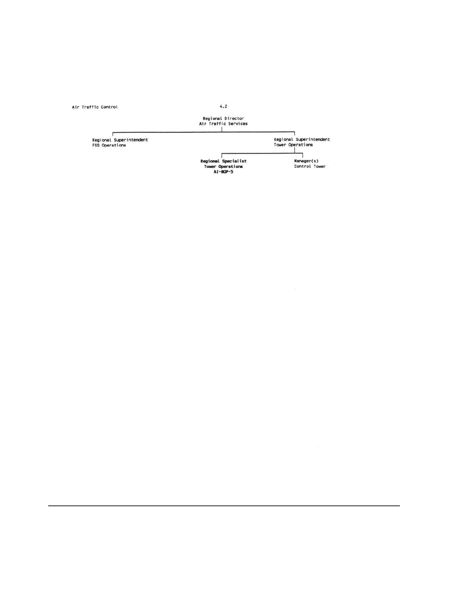Air Traffic Control

 $4.2$ 

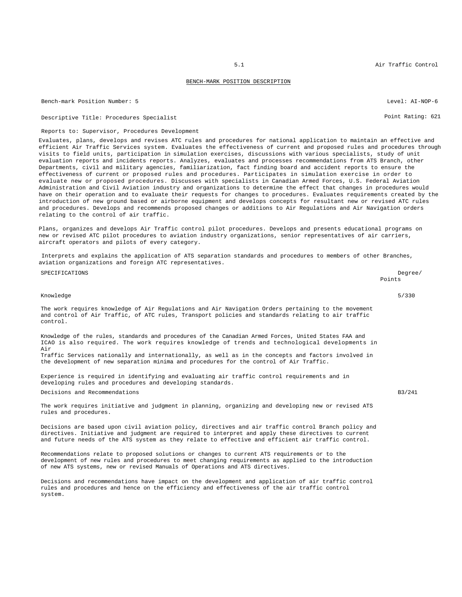#### BENCH-MARK POSITION DESCRIPTION

Bench-mark Position Number: 5 Level: AI-NOP-6

Descriptive Title: Procedures Specialist **Point Rating: 621** Point Rating: 621

#### Reports to: Supervisor, Procedures Development

Evaluates, plans, develops and revises ATC rules and procedures for national application to maintain an effective and efficient Air Traffic Services system. Evaluates the effectiveness of current and proposed rules and procedures through visits to field units, participation in simulation exercises, discussions with various specialists, study of unit evaluation reports and incidents reports. Analyzes, evaluates and processes recommendations from ATS Branch, other Departments, civil and military agencies, familiarization, fact finding board and accident reports to ensure the effectiveness of current or proposed rules and procedures. Participates in simulation exercise in order to evaluate new or proposed procedures. Discusses with specialists in Canadian Armed Forces, U.S. Federal Aviation Administration and Civil Aviation industry and organizations to determine the effect that changes in procedures would have on their operation and to evaluate their requests for changes to procedures. Evaluates requirements created by the introduction of new ground based or airborne equipment and develops concepts for resultant new or revised ATC rules and procedures. Develops and recommends proposed changes or additions to Air Regulations and Air Navigation orders relating to the control of air traffic.

Plans, organizes and develops Air Traffic control pilot procedures. Develops and presents educational programs on new or revised ATC pilot procedures to aviation industry organizations, senior representatives of air carriers, aircraft operators and pilots of every category.

Interprets and explains the application of ATS separation standards and procedures to members of other Branches, aviation organizations and foreign ATC representatives.

| SPECIFICATIONS                                                                                                                                                                                                        | Degree/<br>Points |
|-----------------------------------------------------------------------------------------------------------------------------------------------------------------------------------------------------------------------|-------------------|
| Knowledge                                                                                                                                                                                                             | 5/330             |
| The work requires knowledge of Air Requlations and Air Navigation Orders pertaining to the movement<br>and control of Air Traffic, of ATC rules, Transport policies and standards relating to air traffic<br>control. |                   |
| Knowledge of the rules, standards and procedures of the Canadian Armed Forces, United States FAA and<br>ICAO is also required. The work requires knowledge of trends and technological developments in<br>Air         |                   |
| Traffic Services nationally and internationally, as well as in the concepts and factors involved in<br>the development of new separation minima and procedures for the control of Air Traffic.                        |                   |

Experience is required in identifying and evaluating air traffic control requirements and in developing rules and procedures and developing standards.

Decisions and Recommendations B3/241

The work requires initiative and judgment in planning, organizing and developing new or revised ATS rules and procedures.

Decisions are based upon civil aviation policy, directives and air traffic control Branch policy and directives. Initiative and judgment are required to interpret and apply these directives to current and future needs of the ATS system as they relate to effective and efficient air traffic control.

Recommendations relate to proposed solutions or changes to current ATS requirements or to the development of new rules and procedures to meet changing requirements as applied to the introduction of new ATS systems, new or revised Manuals of Operations and ATS directives.

Decisions and recommendations have impact on the development and application of air traffic control rules and procedures and hence on the efficiency and effectiveness of the air traffic control system.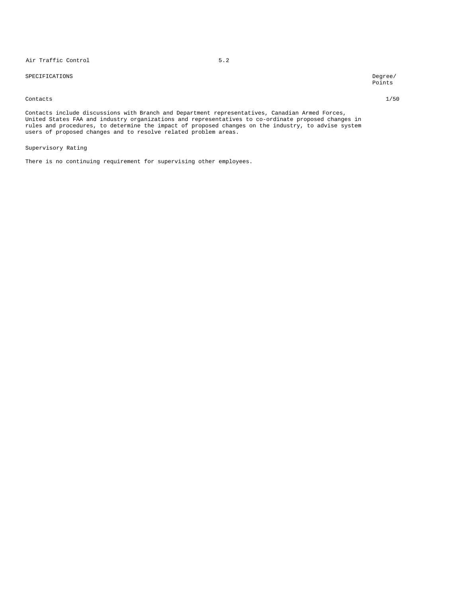# Air Traffic Control 5.2

SPECIFICATIONS Degree/

Points

#### Contacts 1/50

Contacts include discussions with Branch and Department representatives, Canadian Armed Forces, United States FAA and industry organizations and representatives to co-ordinate proposed changes in rules and procedures, to determine the impact of proposed changes on the industry, to advise system users of proposed changes and to resolve related problem areas.

Supervisory Rating

There is no continuing requirement for supervising other employees.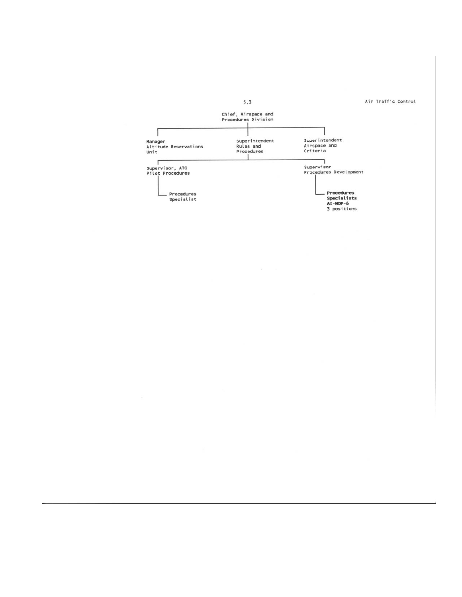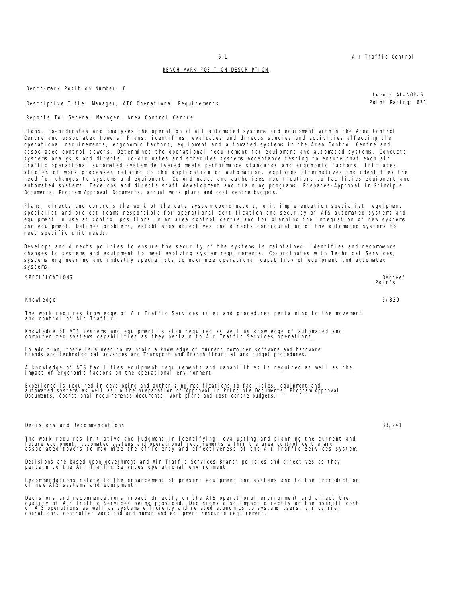# BENCH-MARK POSITION DESCRIPTION

Bench-mark Position Number: 6

Descriptive Title: Manager, ATC Operational Requirements entitled and the point Rating: 671

Reports To: General Manager, Area Control Centre

Plans, co-ordinates and analyses the operation of all automated systems and equipment within the Area Control Centre and associated towers. Plans, identifies, evaluates and directs studies and activities affecting the operational requirements, ergonomic factors, equipment and automated systems in the Area Control Centre and associated control towers. Determines the operational requirement for equipment and automated systems. Conducts systems analysis and directs, co-ordinates and schedules systems acceptance testing to ensure that each air traffic operational automated system delivered meets performance standards and ergonomic factors. Initiates studies of work processes related to the application of automation, explores alternatives and identifies the need for changes to systems and equipment. Co-ordinates and authorizes modifications to facilities equipment and automated systems. Develops and directs staff development and training programs. Prepares-Approval in Principle Documents, Program Approval Documents, annual work plans and cost centre budgets.

Plans, directs and controls the work of the data system coordinators, unit implementation specialist, equipment specialist and project teams responsible for operational certification and security of ATS automated systems and equipment in use at control positions in an area control centre and for planning the integration of new systems and equipment. Defines problems, establishes objectives and directs configuration of the automated systems to meet specific unit needs.

Develops and directs policies to ensure the security of the systems is maintained. Identifies and recommends changes to systems and equipment to meet evolving system requirements. Co-ordinates with Technical Services, systems engineering and industry specialists to maximize operational capability of equipment and automated systems.

SPECIFICATIONS Degree/ Points

Knowledge 5/330

# The work requires knowledge of Air Traffic Services rules and procedures pertaining to the movement and control of Air Traffic.

Knowledge of ATS systems and equipment is also required as well as knowledge of automated and computerized systems capabilities as they pertain to Air Traffic Services operations.

In addition, there is a need to maintain a knowledge of current computer software and hardware trends and technological advances and Transport and Branch financial and budget procedures.

A knowledge of ATS facilities equipment requirements and capabilities is required as well as the impact of ergonomic factors on the operational environment.

Experience is required in developing and authorizing modifications to facilities, equipment and<br>automated systems as well as in the preparation of Approval in Principle Documents, Program Approval<br>Documents, operational re

Decisions and Recommendations B3/241

The work requires initiative and judgment in identifying, evaluating and planning the current and<br>future equipment, automated systems and operational requirements within the area control centre and<br>associated towers to max

Decisions are based upon government and Air Traffic Services Branch policies and directives as they pertain to the Air Traffic Services operational environment.

Recommendations relate to the enhancement of present equipment and systems and to the introduction of new ATS systems and equipment.

Decisions and recommendations impact directly on the ATS operational environment and affect the<br>quality of Air Traffic Services being provided. Decisions also impact directly on the overall cost<br>of ATS operations as well a

 $L = NQ - NQ - 6$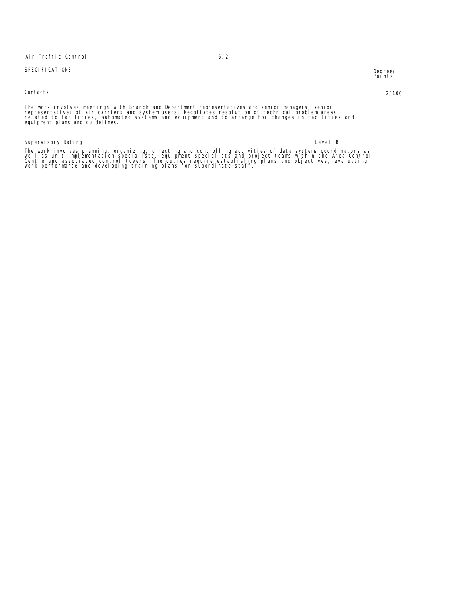# Air Traffic Control 6.2

# SPECIFICATIONS Degree/

Contacts 2/100

Degree/<br>Points

The work involves meetings with Branch and Department representatives and senior managers, senior<br>representatives of air carriers and system users. Negotiates resolution of technical problem areas<br>related to facilities, au

# Supervisory Rating the control of the control of the control of the control of the control of the control of the control of the control of the control of the control of the control of the control of the control of the cont

The work involves planning, organizing, directing and controlling activities of data systems coordinators as<br>well as unit implementation specialists, equipment specialists and project teams within the Area Control<br>Centre a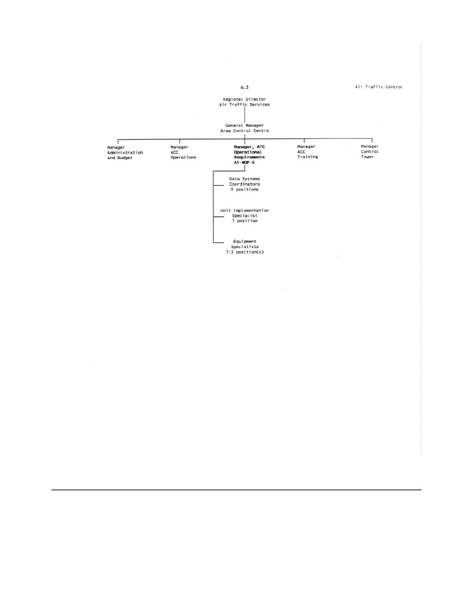Air Traffic Control  $6.3$ Regional Director<br>Air Traffic Services General Manager<br>Area Control Centre Manager<br>Control<br>Tower  $\Box$ Manager, ATC<br>Operational<br>Requirements<br>AI-NOP-6 T 1 Manager<br>ACC<br>Training ,<br>Manager<br>ACC<br>Operations n<br>Administration<br>and Budget Data Systems<br>Coordinators<br>9 positions Equipment<br>Specialists<br>1-3 position(s)

 $\sim$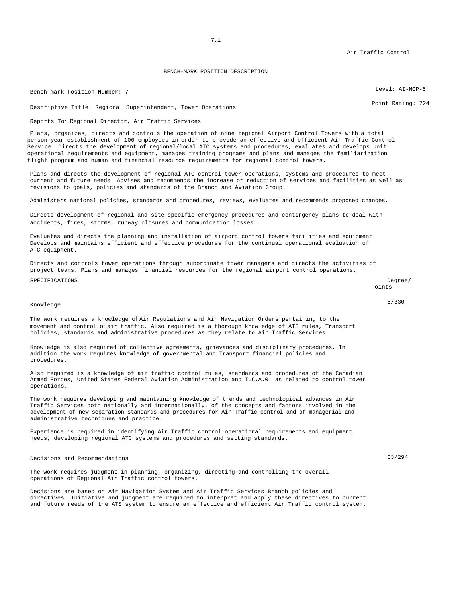Air Traffic Control

## BENCH-MARK POSITION DESCRIPTION

Bench-mark Position Number: 7 Level: AI-NOP-6

Descriptive Title: Regional Superintendent, Tower Operations entitled and the Control of Rating: 724

Reports To<sup>:</sup> Regional Director, Air Traffic Services

Plans, organizes, directs and controls the operation of nine regional Airport Control Towers with a total person-year establishment of 100 employees in order to provide an effective and efficient Air Traffic Control Service. Directs the development of regional/local ATC systems and procedures, evaluates and develops unit operational requirements and equipment, manages training programs and plans and manages the familiarization flight program and human and financial resource requirements for regional control towers.

Plans and directs the development of regional ATC control tower operations, systems and procedures to meet current and future needs. Advises and recommends the increase or reduction of services and facilities as well as revisions to goals, policies and standards of the Branch and Aviation Group.

Administers national policies, standards and procedures, reviews, evaluates and recommends proposed changes.

Directs development of regional and site specific emergency procedures and contingency plans to deal with accidents, fires, storms, runway closures and communication losses.

Evaluates and directs the planning and installation of airport control towers facilities and equipment. Develops and maintains efficient and effective procedures for the continual operational evaluation of ATC equipment.

Directs and controls tower operations through subordinate tower managers and directs the activities of project teams. Plans and manages financial resources for the regional airport control operations.

#### SPECIFICATIONS Degree/

Points

# Knowledge 5/330

The work requires a knowledge *of* Air Regulations and Air Navigation Orders pertaining to the movement and control *of* air traffic. Also required is a thorough knowledge of ATS rules, Transport policies, standards and administrative procedures as they relate to Air Traffic Services.

Knowledge is also required of collective agreements, grievances and disciplinary procedures. In addition the work requires knowledge of governmental and Transport financial policies and procedures.

Also required is a knowledge of air traffic control rules, standards and procedures of the Canadian Armed Forces, United States Federal Aviation Administration and I.C.A.0. as related to control tower operations.

The work requires developing and maintaining knowledge of trends and technological advances in Air Traffic Services both nationally and internationally, of the concepts and factors involved in the development of new separation standards and procedures for Air Traffic control and of managerial and administrative techniques and practice.

Experience is required in identifying Air Traffic control operational requirements and equipment needs, developing regional ATC systems and procedures and setting standards.

Decisions and Recommendations C3/294

The work requires judgment in planning, organizing, directing and controlling the overall operations of Regional Air Traffic control towers.

Decisions are based on Air Navigation System and Air Traffic Services Branch policies and directives. Initiative and judgment are required to interpret and apply these directives to current and future needs of the ATS system to ensure an effective and efficient Air Traffic control system.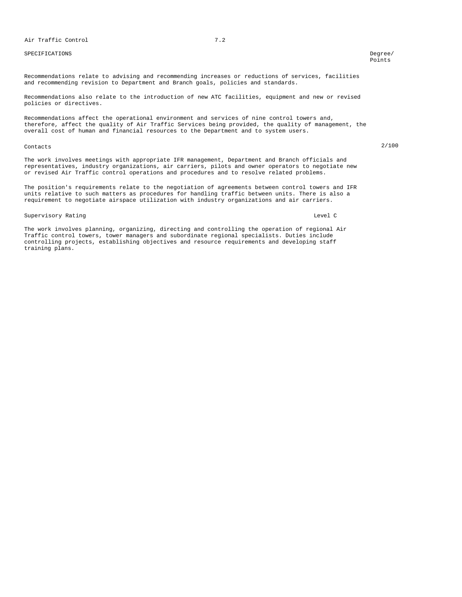# SPECIFICATIONS Degree/

Points

Recommendations relate to advising and recommending increases or reductions of services, facilities and recommending revision to Department and Branch goals, policies and standards.

Recommendations also relate to the introduction of new ATC facilities, equipment and new or revised policies or directives.

Recommendations affect the operational environment and services of nine control towers and, therefore, affect the quality of Air Traffic Services being provided, the quality of management, the overall cost of human and financial resources to the Department and to system users.

# Contacts 2/100

The work involves meetings with appropriate IFR management, Department and Branch officials and representatives, industry organizations, air carriers, pilots and owner operators to negotiate new or revised Air Traffic control operations and procedures and to resolve related problems.

The position's requirements relate to the negotiation of agreements between control towers and IFR units relative to such matters as procedures for handling traffic between units. There is also a requirement to negotiate airspace utilization with industry organizations and air carriers.

## Supervisory Rating Level C and the C and the C and the C and the C and C and C and C and C and C and C and C and C and C and C and C and C and C and C and C and C and C and C and C and C and C and C and C and C and C and C

The work involves planning, organizing, directing and controlling the operation of regional Air Traffic control towers, tower managers and subordinate regional specialists. Duties include controlling projects, establishing objectives and resource requirements and developing staff training plans.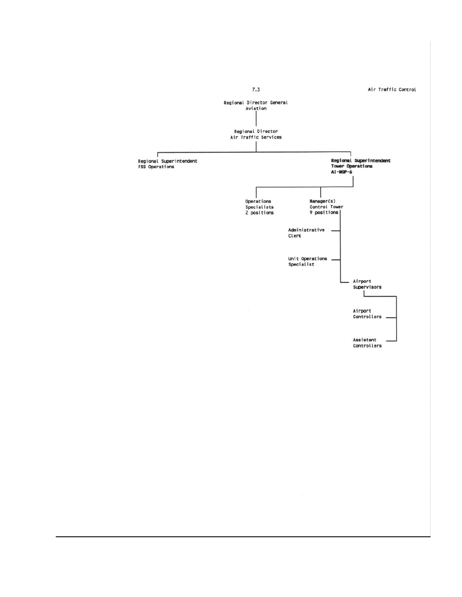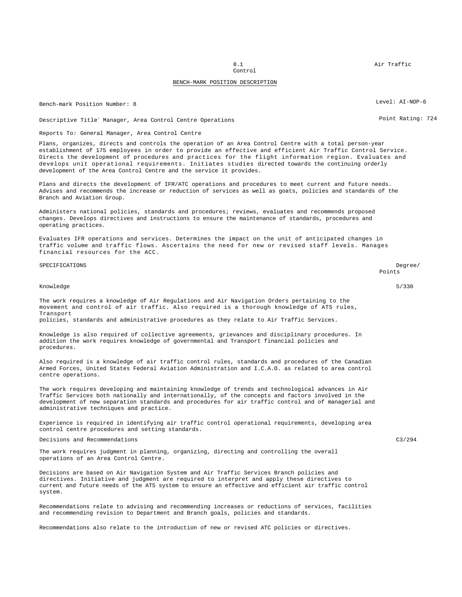8.1 Air Traffic

Control

# BENCH-MARK POSITION DESCRIPTION

Bench-mark Position Number: 8 Level: AI-NOP-6

Descriptive Title<sup>:</sup> Manager, Area Control Centre Operations **Point Rating: 724** Point Rating: 724

# Reports To: General Manager, Area Control Centre

Plans, organizes, directs and controls the operation of an Area Control Centre with a total person-year establishment of 175 employees in order to provide an effective and efficient Air Traffic Control Service. Directs the development of procedures and practices for the flight information region. Evaluates and develops unit operational requirements. Initiates studies directed towards the continuing orderly development of the Area Control Centre and the service it provides.

Plans and directs the development of IFR/ATC operations and procedures to meet current and future needs. Advises and recommends the increase or reduction of services as well as goats, policies and standards of the Branch and Aviation Group.

Administers national policies, standards and procedures; reviews, evaluates and recommends proposed changes. Develops directives and instructions to ensure the maintenance of standards, procedures and operating practices.

Evaluates IFR operations and services. Determines the impact on the unit of anticipated changes in traffic volume and traffic flows. Ascertains the need for new or revised staff levels. Manages financial resources for the ACC.

SPECIFICATIONS Degree/ Points

#### Knowledge 5/330

The work requires a knowledge of Air Regulations and Air Navigation Orders pertaining to the movement and control of air traffic. Also required is a thorough knowledge of ATS rules, Transport

policies, standards and administrative procedures as they relate to Air Traffic Services.

Knowledge is also required of collective agreements, grievances and disciplinary procedures. In addition the work requires knowledge of governmental and Transport financial policies and procedures.

Also required is a knowledge of air traffic control rules, standards and procedures of the Canadian Armed Forces, United States Federal Aviation Administration and I.C.A.O. as related to area control centre operations.

The work requires developing and maintaining knowledge of trends and technological advances in Air Traffic Services both nationally and internationally, of the concepts and factors involved in the development of new separation standards and procedures for air traffic control and of managerial and administrative techniques and practice.

Experience is required in identifying air traffic control operational requirements, developing area control centre procedures and setting standards.

Decisions and Recommendations C3/294

The work requires judgment in planning, organizing, directing and controlling the overall operations of an Area Control Centre.

Decisions are based on Air Navigation System and Air Traffic Services Branch policies and directives. Initiative and judgment are required to interpret and apply these directives to current and future needs of the ATS system to ensure an effective and efficient air traffic control system.

Recommendations relate to advising and recommending increases or reductions of services, facilities and recommending revision to Department and Branch goals, policies and standards.

Recommendations also relate to the introduction of new or revised ATC policies or directives.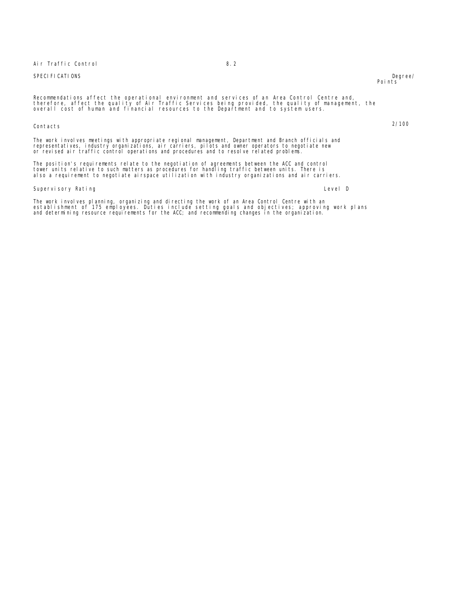# Air Traffic Control 8.2

# SPECIFICATIONS Degree/

Recommendations affect the operational environment and services of an Area Control Centre and,<br>therefore, affect the quality of Air Traffic Services being provided, the quality of management, the<br>overall cost of human and

# Contacts 2/100

The work involves meetings with appropriate regional management, Department and Branch officials and representatives, industry organizations, air carriers, pilots and owner operators to negotiate new or revised air traffic control operations and procedures and to resolve related problems.

The position's requirements relate to the negotiation of agreements between the ACC and control<br>tower units relative to such matters as procedures for handling traffic between units. There is<br>also a requirement to negotiat

# Supervisory Rating **Level D** and the set of the set of the set of the set of the set of the set of the set of the set of the set of the set of the set of the set of the set of the set of the set of the set of the set of th

The work involves planning, organizing and directing the work of an Area Control Centre with an<br>establishment of 175 employees. Duties include setting goals and objectives; approving work plans<br>and determining resource req

# Points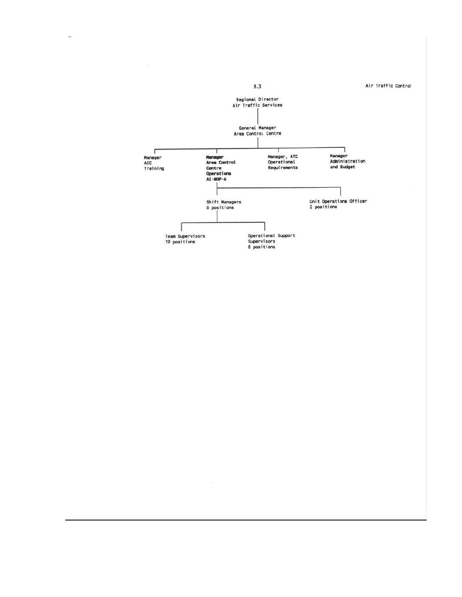

 $\overline{\phantom{a}}$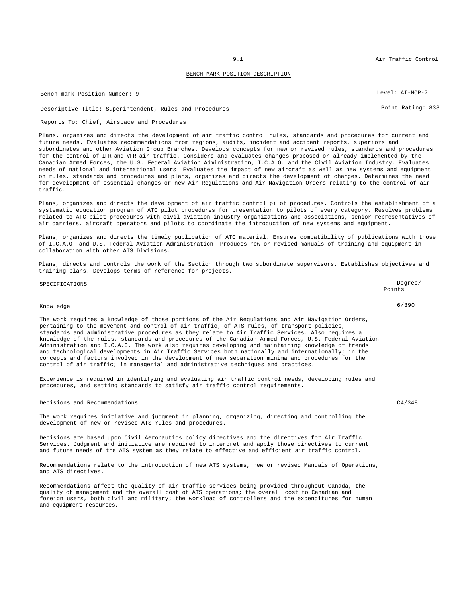# BENCH-MARK POSITION DESCRIPTION

Bench-mark Position Number: 9 Level: AI-NOP-7

# Descriptive Title: Superintendent, Rules and Procedures Point Rating: 838

## Reports To: Chief, Airspace and Procedures

Plans, organizes and directs the development of air traffic control rules, standards and procedures for current and future needs. Evaluates recommendations from regions, audits, incident and accident reports, superiors and subordinates and other Aviation Group Branches. Develops concepts for new or revised rules, standards and procedures for the control of IFR and VFR air traffic. Considers and evaluates changes proposed or already implemented by the Canadian Armed Forces, the U.S. Federal Aviation Administration, I.C.A.O. and the Civil Aviation Industry. Evaluates needs of national and international users. Evaluates the impact of new aircraft as well as new systems and equipment on rules, standards and procedures and plans, organizes and directs the development of changes. Determines the need for development of essential changes or new Air Regulations and Air Navigation Orders relating to the control of air traffic.

Plans, organizes and directs the development of air traffic control pilot procedures. Controls the establishment of a systematic education program of ATC pilot procedures for presentation to pilots of every category. Resolves problems related to ATC pilot procedures with civil aviation industry organizations and associations, senior representatives of air carriers, aircraft operators and pilots to coordinate the introduction of new systems and equipment.

Plans, organizes and directs the timely publication of ATC material. Ensures compatibility of publications with those of I.C.A.O. and U.S. Federal Aviation Administration. Produces new or revised manuals of training and equipment in collaboration with other ATS Divisions.

Plans, directs and controls the work of the Section through two subordinate supervisors. Establishes objectives and training plans. Develops terms of reference for projects.

| SPECIFICATIONS                                                                                                                                                                                                                                                                                                                                                                                                                                                                                                                                                                                                                                                                                                                                                                                                   | Degree/<br>Points |
|------------------------------------------------------------------------------------------------------------------------------------------------------------------------------------------------------------------------------------------------------------------------------------------------------------------------------------------------------------------------------------------------------------------------------------------------------------------------------------------------------------------------------------------------------------------------------------------------------------------------------------------------------------------------------------------------------------------------------------------------------------------------------------------------------------------|-------------------|
| Knowledge                                                                                                                                                                                                                                                                                                                                                                                                                                                                                                                                                                                                                                                                                                                                                                                                        | 6/390             |
| The work requires a knowledge of those portions of the Air Requlations and Air Navigation Orders,<br>pertaining to the movement and control of air traffic; of ATS rules, of transport policies,<br>standards and administrative procedures as they relate to Air Traffic Services. Also requires a<br>knowledge of the rules, standards and procedures of the Canadian Armed Forces, U.S. Federal Aviation<br>Administration and I.C.A.O. The work also requires developing and maintaining knowledge of trends<br>and technological developments in Air Traffic Services both nationally and internationally; in the<br>concepts and factors involved in the development of new separation minima and procedures for the<br>control of air traffic; in managerial and administrative techniques and practices. |                   |
| Experience is required in identifying and evaluating air traffic control needs, developing rules and<br>procedures, and setting standards to satisfy air traffic control requirements.                                                                                                                                                                                                                                                                                                                                                                                                                                                                                                                                                                                                                           |                   |
| Decisions and Recommendations                                                                                                                                                                                                                                                                                                                                                                                                                                                                                                                                                                                                                                                                                                                                                                                    | C4/348            |
| The work requires initiative and judgment in planning, organizing, directing and controlling the<br>development of new or revised ATS rules and procedures.                                                                                                                                                                                                                                                                                                                                                                                                                                                                                                                                                                                                                                                      |                   |

Decisions are based upon Civil Aeronautics policy directives and the directives for Air Traffic Services. Judgment and initiative are required to interpret and apply those directives to current and future needs of the ATS system as they relate to effective and efficient air traffic control.

Recommendations relate to the introduction of new ATS systems, new or revised Manuals of Operations, and ATS directives.

Recommendations affect the quality of air traffic services being provided throughout Canada, the quality of management and the overall cost of ATS operations; the overall cost to Canadian and foreign users, both civil and military; the workload of controllers and the expenditures for human and equipment resources.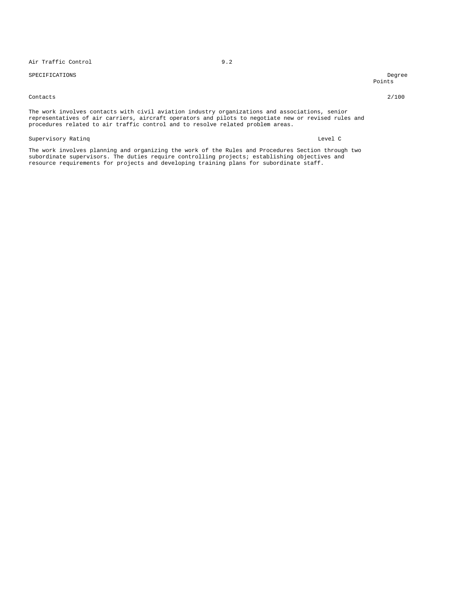# Air Traffic Control 9.2

# SPECIFICATIONS Degree

Points

## Contacts 2/100

The work involves contacts with civil aviation industry organizations and associations, senior representatives of air carriers, aircraft operators and pilots to negotiate new or revised rules and procedures related to air traffic control and to resolve related problem areas.

## Supervisory Ratinq and the contract of the contract of the contract of the contract of the contract of the contract of the contract of the contract of the contract of the contract of the contract of the contract of the con

The work involves planning and organizing the work of the Rules and Procedures Section through two subordinate supervisors. The duties require controlling projects; establishing objectives and resource requirements for projects and developing training plans for subordinate staff.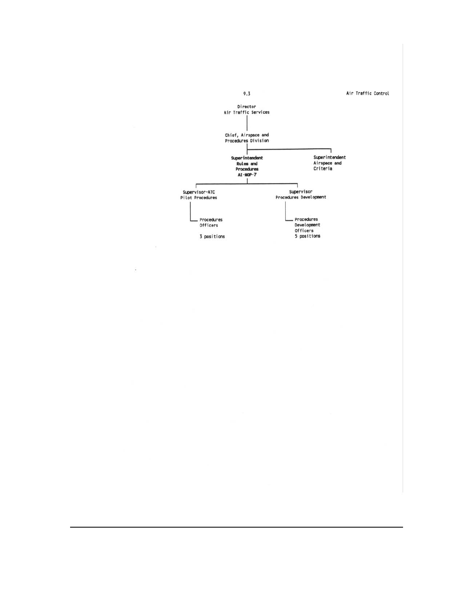

 $\lambda$ 

 $\hat{\bullet}$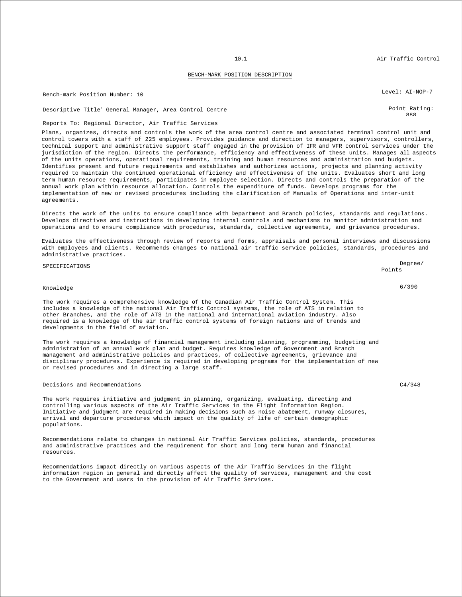## BENCH-MARK POSITION DESCRIPTION

Bench-mark Position Number: 10 Channel Communication Channel Communication Channel Channel Channel Channel Level: AI-NOP-7

Descriptive Title: General Manager, Area Control Centre Point Rating:

Reports To: Regional Director, Air Traffic Services

Plans, organizes, directs and controls the work of the area control centre and associated terminal control unit and control towers with a staff of 225 employees. Provides guidance and direction to managers, supervisors, controllers, technical support and administrative support staff engaged in the provision of IFR and VFR control services under the jurisdiction of the region. Directs the performance, efficiency and effectiveness of these units. Manages all aspects of the units operations, operational requirements, training and human resources and administration and budgets. Identifies present and future requirements and establishes and authorizes actions, projects and planning activity required to maintain the continued operational efficiency and effectiveness of the units. Evaluates short and long term human resource requirements, participates in employee selection. Directs and controls the preparation of the annual work plan within resource allocation. Controls the expenditure of funds. Develops programs for the implementation of new or revised procedures including the clarification of Manuals of Operations and inter-unit agreements.

Directs the work of the units to ensure compliance with Department and Branch policies, standards and regulations. Develops directives and instructions in developing internal controls and mechanisms to monitor administration and operations and to ensure compliance with procedures, standards, collective agreements, and grievance procedures.

Evaluates the effectiveness through review of reports and forms, appraisals and personal interviews and discussions with employees and clients. Recommends changes to national air traffic service policies, standards, procedures and administrative practices.

# SPECIFICATIONS Degree/

Knowledge 6/390

The work requires a comprehensive knowledge of the Canadian Air Traffic Control System. This includes a knowledge of the national Air Traffic Control systems, the role of ATS in relation to other Branches, and the role of ATS in the national and international aviation industry. Also required is a knowledge of the air traffic control systems of foreign nations and of trends and developments in the field of aviation.

The work requires a knowledge of financial management including planning, programming, budgeting and administration of an annual work plan and budget. Requires knowledge of Government and Branch management and administrative policies and practices, of collective agreements, grievance and disciplinary procedures. Experience is required in developing programs for the implementation of new or revised procedures and in directing a large staff.

# Decisions and Recommendations C4/348

The work requires initiative and judgment in planning, organizing, evaluating, directing and controlling various aspects of the Air Traffic Services in the Flight Information Region. Initiative and judgment are required in making decisions such as noise abatement, runway closures, arrival and departure procedures which impact on the quality of life of certain demographic populations.

Recommendations relate to changes in national Air Traffic Services policies, standards, procedures and administrative practices and the requirement for short and long term human and financial resources.

Recommendations impact directly on various aspects of the Air Traffic Services in the flight information region in general and directly affect the quality of services, management and the cost to the Government and users in the provision of Air Traffic Services.

888

Points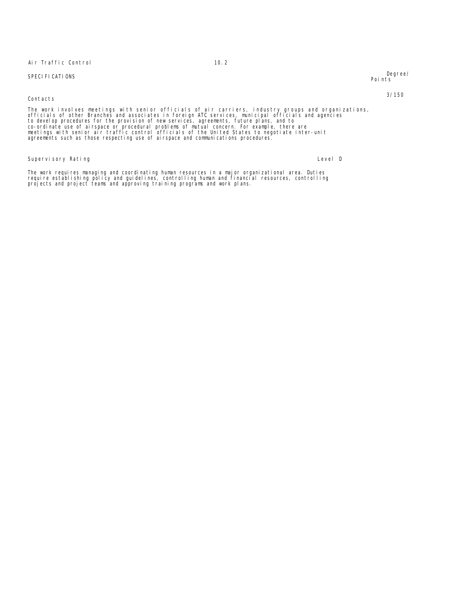Air Traffic Control 2002

SPECIFICATIONS Degree/ Points

# Contacts 3/150

The work involves meetings with senior officials of air carriers, industry groups and organizations,<br>officials of other Branches and associates in foreign ATC services, municipal officials and agencies<br>to develop procedure

Supervisory Rating and Communications of the Communication of the Communications of the Communications of the Communications of the Communications of the Communications of the Communications of the Communications of the Co

The work requires managing and coordinating human resources in a major organizational area. Duties<br>require establishing policy and guidelines, controlling human and financial resources, controlling<br>projects and project tea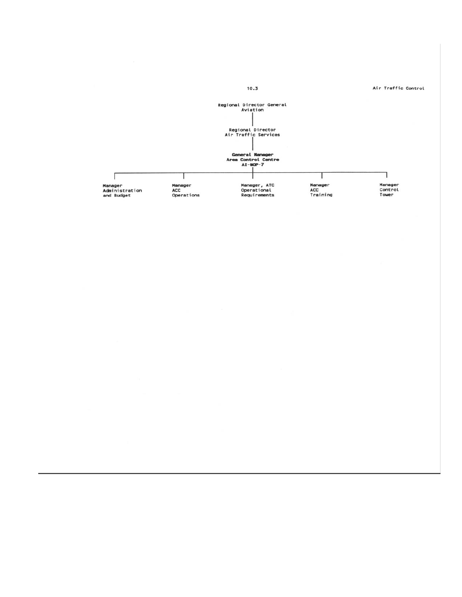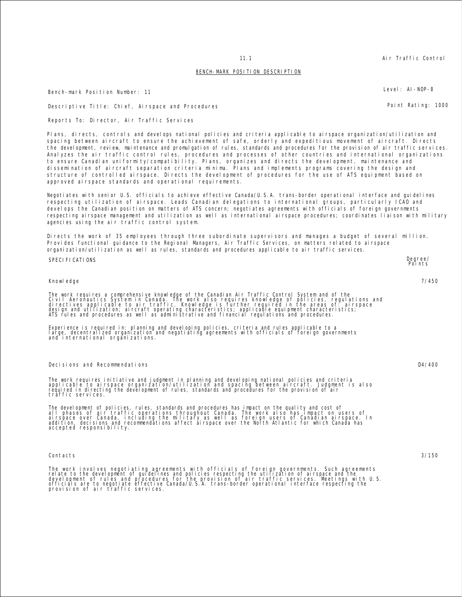# BENCH-MARK POSITION DESCRIPTION

Bench-mark Position Number: 11 **Level: AI-NOP-8** 

Descriptive Title: Chief, Airspace and Procedures Point Rating: 1000

Reports To: Director, Air Traffic Services

Plans, directs, controls and develops national policies and criteria applicable to airspace organization/utilization and spacing between aircraft to ensure the achievement of safe, orderly and expeditious movement of aircraft. Directs the development, review, maintenance and promulgation of rules, standards and procedures for the provision of air traffic services. Analyzes the air traffic control rules, procedures and processes of other countries and international organizations to ensure Canadian uniformity/compatibility. Plans, organizes and directs the development, maintenance and dissemination of aircraft separation criteria minima. Plans and implements programs covering the design and structure of controlled airspace. Directs the development of procedures for the use of ATS equipment based on approved airspace standards and operational requirements.

Negotiates with senior U.S. officials to achieve effective Canada/U.S.A. trans-border operational interface and guidelines respecting utilization of airspace. Leads Canadian delegations to international groups, particularly ICAO and develops the Canadian position on matters of ATS concern; negotiates agreements with officials of foreign governments respecting airspace management and utilization as well as international airspace procedures; coordinates liaison with military agencies using the air traffic control system.

Directs the work of 35 employees through three subordinate supervisors and manages a budget of several million. Provides functional guidance to the Regional Managers, Air Traffic Services, on matters related to airspace organization/utilization as well as rules, standards and procedures applicable to air traffic services.

# SPECIFICATIONS Degree/

Knowledge 7/450

The work requires a comprehensive knowledge of the Canadian Air Traffic Control System and of the<br>Civil Aeronautics System in Canada. The work also requires knowledge of policies, regulations and<br>directives applicable to a

Experience is required in: planning and developing policies, criteria and rules applicable to a<br>large, decentralized organization and negotiating agreements with officials of foreign governments and international organizations.

Decisions and Recommendations D4/400

The work requires initiative and judgment in planning and developing national policies and criteria<br>applicable to airspace organization/utilization and spacing between aircraft. Judgmentis<br>required in directing the develop traffic services.

The development of policies, rules, standards and procedures has impact on the quality and cost of<br>all phases of air traffic operations throughout Canada. The work also has impact on users of<br>airspace over Canada, includin

#### Contacts 3/150

The work involves negotiating agreements with officials of foreign governments. Such agreements<br>relate to the development of guidelines and policies respecting the utilization of airspace and the<br>development of rules and p

11.1 **Air Traffic Control** 

Points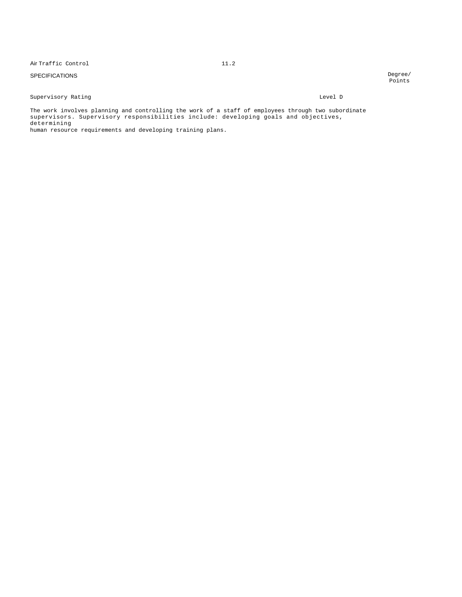Air Traffic Control 11.2

# SPECIFICATIONS

# Supervisory Rating  $L = \text{EVALU}$

The work involves planning and controlling the work of a staff of employees through two subordinate supervisors. Supervisory responsibilities include: developing goals and objectives, determining

human resource requirements and developing training plans.